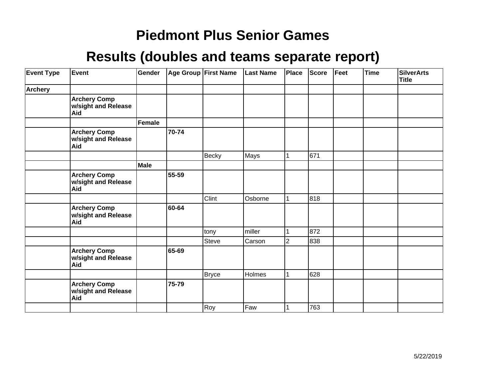| <b>Event Type</b> | Event                                             | Gender        |       | Age Group First Name | <b>Last Name</b> | Place          | <b>Score</b> | Feet | <b>Time</b> | <b>SilverArts</b><br><b>Title</b> |
|-------------------|---------------------------------------------------|---------------|-------|----------------------|------------------|----------------|--------------|------|-------------|-----------------------------------|
| <b>Archery</b>    |                                                   |               |       |                      |                  |                |              |      |             |                                   |
|                   | <b>Archery Comp</b><br>w/sight and Release<br>Aid |               |       |                      |                  |                |              |      |             |                                   |
|                   |                                                   | <b>Female</b> |       |                      |                  |                |              |      |             |                                   |
|                   | <b>Archery Comp</b><br>w/sight and Release<br>Aid |               | 70-74 |                      |                  |                |              |      |             |                                   |
|                   |                                                   |               |       | Becky                | Mays             |                | 671          |      |             |                                   |
|                   |                                                   | <b>Male</b>   |       |                      |                  |                |              |      |             |                                   |
|                   | <b>Archery Comp</b><br>w/sight and Release<br>Aid |               | 55-59 |                      |                  |                |              |      |             |                                   |
|                   |                                                   |               |       | Clint                | Osborne          |                | 818          |      |             |                                   |
|                   | <b>Archery Comp</b><br>w/sight and Release<br>Aid |               | 60-64 |                      |                  |                |              |      |             |                                   |
|                   |                                                   |               |       | tony                 | miller           |                | 872          |      |             |                                   |
|                   |                                                   |               |       | Steve                | Carson           | $\overline{2}$ | 838          |      |             |                                   |
|                   | <b>Archery Comp</b><br>w/sight and Release<br>Aid |               | 65-69 |                      |                  |                |              |      |             |                                   |
|                   |                                                   |               |       | <b>Bryce</b>         | Holmes           |                | 628          |      |             |                                   |
|                   | <b>Archery Comp</b><br>w/sight and Release<br>Aid |               | 75-79 |                      |                  |                |              |      |             |                                   |
|                   |                                                   |               |       | Roy                  | Faw              |                | 763          |      |             |                                   |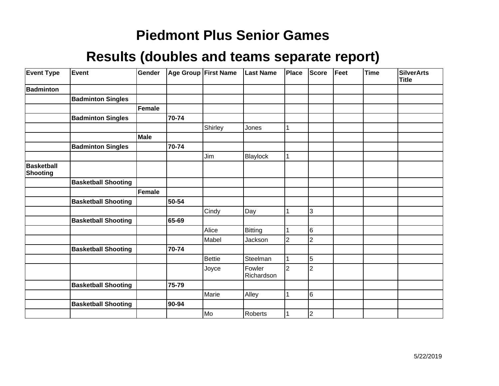| <b>Event Type</b>                    | Event                      | Gender        |       | <b>Age Group First Name</b> | <b>Last Name</b>     | Place          | Score          | Feet | <b>Time</b> | <b>SilverArts</b><br><b>Title</b> |
|--------------------------------------|----------------------------|---------------|-------|-----------------------------|----------------------|----------------|----------------|------|-------------|-----------------------------------|
| <b>Badminton</b>                     |                            |               |       |                             |                      |                |                |      |             |                                   |
|                                      | <b>Badminton Singles</b>   |               |       |                             |                      |                |                |      |             |                                   |
|                                      |                            | <b>Female</b> |       |                             |                      |                |                |      |             |                                   |
|                                      | <b>Badminton Singles</b>   |               | 70-74 |                             |                      |                |                |      |             |                                   |
|                                      |                            |               |       | Shirley                     | Jones                |                |                |      |             |                                   |
|                                      |                            | <b>Male</b>   |       |                             |                      |                |                |      |             |                                   |
|                                      | <b>Badminton Singles</b>   |               | 70-74 |                             |                      |                |                |      |             |                                   |
|                                      |                            |               |       | Jim                         | Blaylock             |                |                |      |             |                                   |
| <b>Basketball</b><br><b>Shooting</b> |                            |               |       |                             |                      |                |                |      |             |                                   |
|                                      | <b>Basketball Shooting</b> |               |       |                             |                      |                |                |      |             |                                   |
|                                      |                            | Female        |       |                             |                      |                |                |      |             |                                   |
|                                      | <b>Basketball Shooting</b> |               | 50-54 |                             |                      |                |                |      |             |                                   |
|                                      |                            |               |       | Cindy                       | Day                  |                | 3              |      |             |                                   |
|                                      | <b>Basketball Shooting</b> |               | 65-69 |                             |                      |                |                |      |             |                                   |
|                                      |                            |               |       | Alice                       | Bitting              |                | 6              |      |             |                                   |
|                                      |                            |               |       | Mabel                       | Jackson              | $\overline{2}$ | $\overline{2}$ |      |             |                                   |
|                                      | <b>Basketball Shooting</b> |               | 70-74 |                             |                      |                |                |      |             |                                   |
|                                      |                            |               |       | <b>Bettie</b>               | Steelman             |                | 5              |      |             |                                   |
|                                      |                            |               |       | Joyce                       | Fowler<br>Richardson | $\overline{2}$ | $\overline{2}$ |      |             |                                   |
|                                      | <b>Basketball Shooting</b> |               | 75-79 |                             |                      |                |                |      |             |                                   |
|                                      |                            |               |       | Marie                       | Alley                |                | 6              |      |             |                                   |
|                                      | <b>Basketball Shooting</b> |               | 90-94 |                             |                      |                |                |      |             |                                   |
|                                      |                            |               |       | Mo                          | Roberts              |                | $\overline{c}$ |      |             |                                   |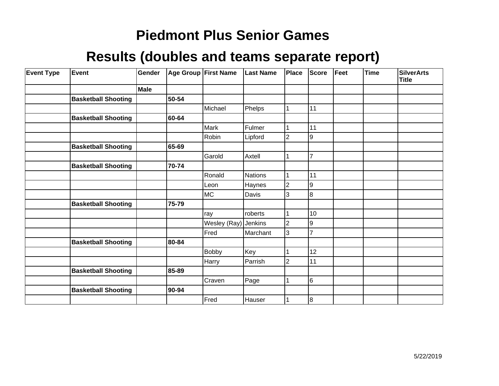| <b>Event Type</b> | Event                      | Gender      | Age Group First Name |              | <b>Last Name</b> | Place          | Score          | Feet | <b>Time</b> | <b>SilverArts</b><br><b>Title</b> |
|-------------------|----------------------------|-------------|----------------------|--------------|------------------|----------------|----------------|------|-------------|-----------------------------------|
|                   |                            | <b>Male</b> |                      |              |                  |                |                |      |             |                                   |
|                   | <b>Basketball Shooting</b> |             | 50-54                |              |                  |                |                |      |             |                                   |
|                   |                            |             |                      | Michael      | Phelps           | 1              | 11             |      |             |                                   |
|                   | <b>Basketball Shooting</b> |             | 60-64                |              |                  |                |                |      |             |                                   |
|                   |                            |             |                      | Mark         | Fulmer           |                | 11             |      |             |                                   |
|                   |                            |             |                      | Robin        | Lipford          | $\overline{2}$ | 9              |      |             |                                   |
|                   | <b>Basketball Shooting</b> |             | 65-69                |              |                  |                |                |      |             |                                   |
|                   |                            |             |                      | Garold       | Axtell           |                | $\overline{7}$ |      |             |                                   |
|                   | <b>Basketball Shooting</b> |             | 70-74                |              |                  |                |                |      |             |                                   |
|                   |                            |             |                      | Ronald       | <b>Nations</b>   | 1              | 11             |      |             |                                   |
|                   |                            |             |                      | Leon         | Haynes           | $\overline{2}$ | 9              |      |             |                                   |
|                   |                            |             |                      | <b>MC</b>    | Davis            | $\overline{3}$ | 8              |      |             |                                   |
|                   | <b>Basketball Shooting</b> |             | 75-79                |              |                  |                |                |      |             |                                   |
|                   |                            |             |                      | ray          | roberts          | $\mathbf 1$    | 10             |      |             |                                   |
|                   |                            |             |                      | Wesley (Ray) | <b>Jenkins</b>   | $\overline{2}$ | 9              |      |             |                                   |
|                   |                            |             |                      | Fred         | Marchant         | $\overline{3}$ | $\overline{7}$ |      |             |                                   |
|                   | <b>Basketball Shooting</b> |             | 80-84                |              |                  |                |                |      |             |                                   |
|                   |                            |             |                      | <b>Bobby</b> | Key              |                | 12             |      |             |                                   |
|                   |                            |             |                      | Harry        | Parrish          | $\overline{2}$ | 11             |      |             |                                   |
|                   | <b>Basketball Shooting</b> |             | 85-89                |              |                  |                |                |      |             |                                   |
|                   |                            |             |                      | Craven       | Page             |                | 6              |      |             |                                   |
|                   | <b>Basketball Shooting</b> |             | 90-94                |              |                  |                |                |      |             |                                   |
|                   |                            |             |                      | Fred         | Hauser           |                | 8              |      |             |                                   |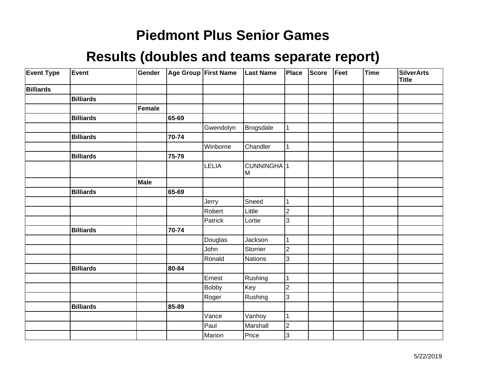| <b>Event Type</b> | Event            | Gender      |       | Age Group First Name | Last Name                    | <b>Place</b>            | <b>Score</b> | Feet | Time | <b>SilverArts</b><br><b>Title</b> |
|-------------------|------------------|-------------|-------|----------------------|------------------------------|-------------------------|--------------|------|------|-----------------------------------|
| <b>Billiards</b>  |                  |             |       |                      |                              |                         |              |      |      |                                   |
|                   | <b>Billiards</b> |             |       |                      |                              |                         |              |      |      |                                   |
|                   |                  | Female      |       |                      |                              |                         |              |      |      |                                   |
|                   | <b>Billiards</b> |             | 65-69 |                      |                              |                         |              |      |      |                                   |
|                   |                  |             |       | Gwendolyn            | Brogsdale                    | $\mathbf 1$             |              |      |      |                                   |
|                   | <b>Billiards</b> |             | 70-74 |                      |                              |                         |              |      |      |                                   |
|                   |                  |             |       | Winborne             | Chandler                     | $\mathbf{1}$            |              |      |      |                                   |
|                   | <b>Billiards</b> |             | 75-79 |                      |                              |                         |              |      |      |                                   |
|                   |                  |             |       | LELIA                | CUNNINGHA <sup>1</sup><br>lм |                         |              |      |      |                                   |
|                   |                  | <b>Male</b> |       |                      |                              |                         |              |      |      |                                   |
|                   | <b>Billiards</b> |             | 65-69 |                      |                              |                         |              |      |      |                                   |
|                   |                  |             |       | Jerry                | Sneed                        | 1                       |              |      |      |                                   |
|                   |                  |             |       | Robert               | Little                       | $\overline{\mathbf{c}}$ |              |      |      |                                   |
|                   |                  |             |       | Patrick              | Lortie                       | 3                       |              |      |      |                                   |
|                   | <b>Billiards</b> |             | 70-74 |                      |                              |                         |              |      |      |                                   |
|                   |                  |             |       | Douglas              | Jackson                      | 1                       |              |      |      |                                   |
|                   |                  |             |       | John                 | Storrier                     | $\overline{2}$          |              |      |      |                                   |
|                   |                  |             |       | Ronald               | Nations                      | 3                       |              |      |      |                                   |
|                   | <b>Billiards</b> |             | 80-84 |                      |                              |                         |              |      |      |                                   |
|                   |                  |             |       | Ernest               | Rushing                      | $\mathbf{1}$            |              |      |      |                                   |
|                   |                  |             |       | <b>Bobby</b>         | Key                          | $\overline{2}$          |              |      |      |                                   |
|                   |                  |             |       | Roger                | Rushing                      | 3                       |              |      |      |                                   |
|                   | <b>Billiards</b> |             | 85-89 |                      |                              |                         |              |      |      |                                   |
|                   |                  |             |       | Vance                | Vanhoy                       | $\mathbf 1$             |              |      |      |                                   |
|                   |                  |             |       | Paul                 | Marshall                     | $\overline{2}$          |              |      |      |                                   |
|                   |                  |             |       | Marion               | Price                        | 3                       |              |      |      |                                   |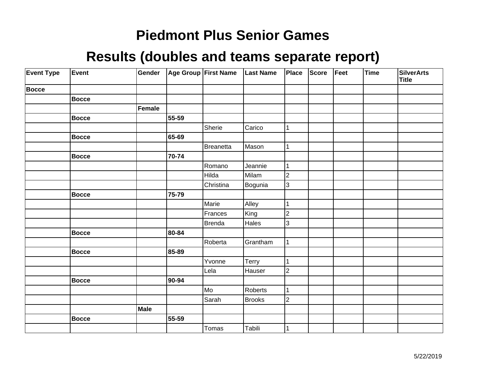| <b>Event Type</b> | Event        | Gender        |       | Age Group First Name | <b>Last Name</b> | Place          | Score | Feet | Time | <b>SilverArts</b><br><b>Title</b> |
|-------------------|--------------|---------------|-------|----------------------|------------------|----------------|-------|------|------|-----------------------------------|
| <b>Bocce</b>      |              |               |       |                      |                  |                |       |      |      |                                   |
|                   | <b>Bocce</b> |               |       |                      |                  |                |       |      |      |                                   |
|                   |              | <b>Female</b> |       |                      |                  |                |       |      |      |                                   |
|                   | Bocce        |               | 55-59 |                      |                  |                |       |      |      |                                   |
|                   |              |               |       | Sherie               | Carico           |                |       |      |      |                                   |
|                   | <b>Bocce</b> |               | 65-69 |                      |                  |                |       |      |      |                                   |
|                   |              |               |       | Breanetta            | Mason            | 1              |       |      |      |                                   |
|                   | <b>Bocce</b> |               | 70-74 |                      |                  |                |       |      |      |                                   |
|                   |              |               |       | Romano               | Jeannie          |                |       |      |      |                                   |
|                   |              |               |       | Hilda                | Milam            | $\overline{2}$ |       |      |      |                                   |
|                   |              |               |       | Christina            | Bogunia          | $\overline{3}$ |       |      |      |                                   |
|                   | Bocce        |               | 75-79 |                      |                  |                |       |      |      |                                   |
|                   |              |               |       | Marie                | Alley            | 1              |       |      |      |                                   |
|                   |              |               |       | Frances              | King             | $\overline{c}$ |       |      |      |                                   |
|                   |              |               |       | <b>Brenda</b>        | Hales            | 3              |       |      |      |                                   |
|                   | <b>Bocce</b> |               | 80-84 |                      |                  |                |       |      |      |                                   |
|                   |              |               |       | Roberta              | Grantham         | 1              |       |      |      |                                   |
|                   | <b>Bocce</b> |               | 85-89 |                      |                  |                |       |      |      |                                   |
|                   |              |               |       | Yvonne               | Terry            | 1              |       |      |      |                                   |
|                   |              |               |       | Lela                 | Hauser           | $\overline{c}$ |       |      |      |                                   |
|                   | <b>Bocce</b> |               | 90-94 |                      |                  |                |       |      |      |                                   |
|                   |              |               |       | Mo                   | Roberts          | 1              |       |      |      |                                   |
|                   |              |               |       | Sarah                | <b>Brooks</b>    | $\overline{2}$ |       |      |      |                                   |
|                   |              | Male          |       |                      |                  |                |       |      |      |                                   |
|                   | Bocce        |               | 55-59 |                      |                  |                |       |      |      |                                   |
|                   |              |               |       | Tomas                | Tabili           |                |       |      |      |                                   |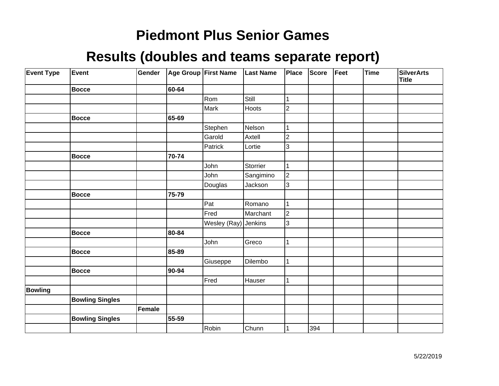| <b>Event Type</b> | Event                  | Gender |       | Age Group First Name | <b>Last Name</b> | Place                   | <b>Score</b> | Feet | <b>Time</b> | <b>SilverArts</b><br><b>Title</b> |
|-------------------|------------------------|--------|-------|----------------------|------------------|-------------------------|--------------|------|-------------|-----------------------------------|
|                   | <b>Bocce</b>           |        | 60-64 |                      |                  |                         |              |      |             |                                   |
|                   |                        |        |       | Rom                  | Still            | 1                       |              |      |             |                                   |
|                   |                        |        |       | Mark                 | Hoots            | $\overline{\mathbf{c}}$ |              |      |             |                                   |
|                   | <b>Bocce</b>           |        | 65-69 |                      |                  |                         |              |      |             |                                   |
|                   |                        |        |       | Stephen              | Nelson           |                         |              |      |             |                                   |
|                   |                        |        |       | Garold               | Axtell           | $\overline{c}$          |              |      |             |                                   |
|                   |                        |        |       | Patrick              | Lortie           | 3                       |              |      |             |                                   |
|                   | <b>Bocce</b>           |        | 70-74 |                      |                  |                         |              |      |             |                                   |
|                   |                        |        |       | John                 | Storrier         | 1                       |              |      |             |                                   |
|                   |                        |        |       | John                 | Sangimino        | $ 2\rangle$             |              |      |             |                                   |
|                   |                        |        |       | Douglas              | Jackson          | 3                       |              |      |             |                                   |
|                   | <b>Bocce</b>           |        | 75-79 |                      |                  |                         |              |      |             |                                   |
|                   |                        |        |       | Pat                  | Romano           | 1                       |              |      |             |                                   |
|                   |                        |        |       | Fred                 | Marchant         | $\overline{c}$          |              |      |             |                                   |
|                   |                        |        |       | Wesley (Ray) Jenkins |                  | 3                       |              |      |             |                                   |
|                   | <b>Bocce</b>           |        | 80-84 |                      |                  |                         |              |      |             |                                   |
|                   |                        |        |       | John                 | Greco            | 1                       |              |      |             |                                   |
|                   | <b>Bocce</b>           |        | 85-89 |                      |                  |                         |              |      |             |                                   |
|                   |                        |        |       | Giuseppe             | Dilembo          | 1                       |              |      |             |                                   |
|                   | <b>Bocce</b>           |        | 90-94 |                      |                  |                         |              |      |             |                                   |
|                   |                        |        |       | Fred                 | Hauser           | 1                       |              |      |             |                                   |
| <b>Bowling</b>    |                        |        |       |                      |                  |                         |              |      |             |                                   |
|                   | <b>Bowling Singles</b> |        |       |                      |                  |                         |              |      |             |                                   |
|                   |                        | Female |       |                      |                  |                         |              |      |             |                                   |
|                   | <b>Bowling Singles</b> |        | 55-59 |                      |                  |                         |              |      |             |                                   |
|                   |                        |        |       | Robin                | Chunn            |                         | 394          |      |             |                                   |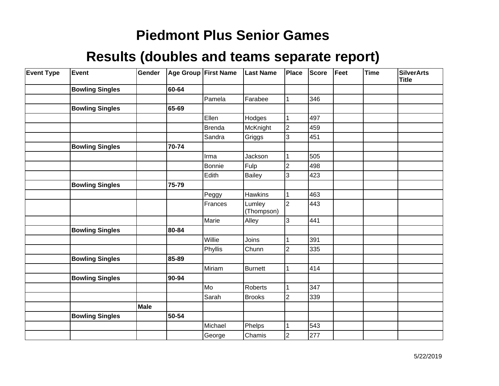| <b>Event Type</b> | <b>Event</b>           | Gender |       | Age Group First Name | <b>Last Name</b>     | Place          | Score | Feet | <b>Time</b> | <b>SilverArts</b><br><b>Title</b> |
|-------------------|------------------------|--------|-------|----------------------|----------------------|----------------|-------|------|-------------|-----------------------------------|
|                   | <b>Bowling Singles</b> |        | 60-64 |                      |                      |                |       |      |             |                                   |
|                   |                        |        |       | Pamela               | Farabee              | 1              | 346   |      |             |                                   |
|                   | <b>Bowling Singles</b> |        | 65-69 |                      |                      |                |       |      |             |                                   |
|                   |                        |        |       | Ellen                | Hodges               |                | 497   |      |             |                                   |
|                   |                        |        |       | <b>Brenda</b>        | McKnight             | $ 2\rangle$    | 459   |      |             |                                   |
|                   |                        |        |       | Sandra               | Griggs               | 3              | 451   |      |             |                                   |
|                   | <b>Bowling Singles</b> |        | 70-74 |                      |                      |                |       |      |             |                                   |
|                   |                        |        |       | Irma                 | Jackson              |                | 505   |      |             |                                   |
|                   |                        |        |       | Bonnie               | Fulp                 | $\overline{2}$ | 498   |      |             |                                   |
|                   |                        |        |       | Edith                | <b>Bailey</b>        | 3              | 423   |      |             |                                   |
|                   | <b>Bowling Singles</b> |        | 75-79 |                      |                      |                |       |      |             |                                   |
|                   |                        |        |       | Peggy                | <b>Hawkins</b>       | 1              | 463   |      |             |                                   |
|                   |                        |        |       | Frances              | Lumley<br>(Thompson) | $\overline{2}$ | 443   |      |             |                                   |
|                   |                        |        |       | Marie                | Alley                | 3              | 441   |      |             |                                   |
|                   | <b>Bowling Singles</b> |        | 80-84 |                      |                      |                |       |      |             |                                   |
|                   |                        |        |       | Willie               | Joins                |                | 391   |      |             |                                   |
|                   |                        |        |       | Phyllis              | Chunn                | 2              | 335   |      |             |                                   |
|                   | <b>Bowling Singles</b> |        | 85-89 |                      |                      |                |       |      |             |                                   |
|                   |                        |        |       | Miriam               | Burnett              |                | 414   |      |             |                                   |
|                   | <b>Bowling Singles</b> |        | 90-94 |                      |                      |                |       |      |             |                                   |
|                   |                        |        |       | Mo                   | Roberts              |                | 347   |      |             |                                   |
|                   |                        |        |       | Sarah                | <b>Brooks</b>        | $\overline{2}$ | 339   |      |             |                                   |
|                   |                        | Male   |       |                      |                      |                |       |      |             |                                   |
|                   | <b>Bowling Singles</b> |        | 50-54 |                      |                      |                |       |      |             |                                   |
|                   |                        |        |       | Michael              | Phelps               | 1              | 543   |      |             |                                   |
|                   |                        |        |       | George               | Chamis               | 2              | 277   |      |             |                                   |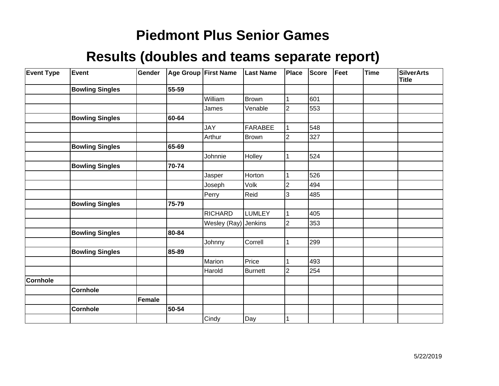| <b>Event Type</b> | Event                  | Gender |       | <b>Age Group First Name</b> | <b>Last Name</b> | Place          | <b>Score</b> | Feet | <b>Time</b> | <b>SilverArts</b><br><b>Title</b> |
|-------------------|------------------------|--------|-------|-----------------------------|------------------|----------------|--------------|------|-------------|-----------------------------------|
|                   | <b>Bowling Singles</b> |        | 55-59 |                             |                  |                |              |      |             |                                   |
|                   |                        |        |       | William                     | <b>Brown</b>     |                | 601          |      |             |                                   |
|                   |                        |        |       | James                       | Venable          | $\overline{2}$ | 553          |      |             |                                   |
|                   | <b>Bowling Singles</b> |        | 60-64 |                             |                  |                |              |      |             |                                   |
|                   |                        |        |       | <b>JAY</b>                  | FARABEE          |                | 548          |      |             |                                   |
|                   |                        |        |       | Arthur                      | <b>Brown</b>     | 2              | 327          |      |             |                                   |
|                   | <b>Bowling Singles</b> |        | 65-69 |                             |                  |                |              |      |             |                                   |
|                   |                        |        |       | Johnnie                     | Holley           |                | 524          |      |             |                                   |
|                   | <b>Bowling Singles</b> |        | 70-74 |                             |                  |                |              |      |             |                                   |
|                   |                        |        |       | Jasper                      | Horton           |                | 526          |      |             |                                   |
|                   |                        |        |       | Joseph                      | Volk             | 2              | 494          |      |             |                                   |
|                   |                        |        |       | Perry                       | Reid             | 3              | 485          |      |             |                                   |
|                   | <b>Bowling Singles</b> |        | 75-79 |                             |                  |                |              |      |             |                                   |
|                   |                        |        |       | <b>RICHARD</b>              | <b>LUMLEY</b>    |                | 405          |      |             |                                   |
|                   |                        |        |       | Wesley (Ray)                | Jenkins          | $\overline{2}$ | 353          |      |             |                                   |
|                   | <b>Bowling Singles</b> |        | 80-84 |                             |                  |                |              |      |             |                                   |
|                   |                        |        |       | Johnny                      | Correll          |                | 299          |      |             |                                   |
|                   | <b>Bowling Singles</b> |        | 85-89 |                             |                  |                |              |      |             |                                   |
|                   |                        |        |       | Marion                      | Price            |                | 493          |      |             |                                   |
|                   |                        |        |       | Harold                      | Burnett          | 2              | 254          |      |             |                                   |
| Cornhole          |                        |        |       |                             |                  |                |              |      |             |                                   |
|                   | <b>Cornhole</b>        |        |       |                             |                  |                |              |      |             |                                   |
|                   |                        | Female |       |                             |                  |                |              |      |             |                                   |
|                   | <b>Cornhole</b>        |        | 50-54 |                             |                  |                |              |      |             |                                   |
|                   |                        |        |       | Cindy                       | Day              |                |              |      |             |                                   |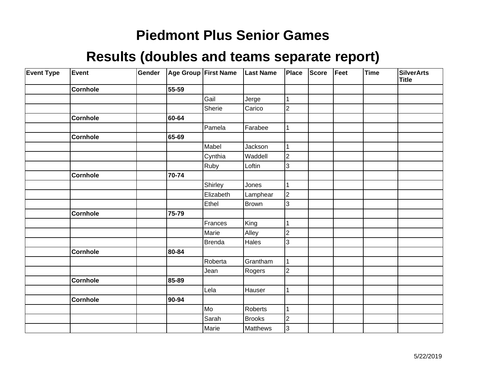| <b>Event Type</b> | Event           | Gender |       | Age Group First Name | <b>Last Name</b> | Place          | <b>Score</b> | Feet | <b>Time</b> | <b>SilverArts</b><br><b>Title</b> |
|-------------------|-----------------|--------|-------|----------------------|------------------|----------------|--------------|------|-------------|-----------------------------------|
|                   | <b>Cornhole</b> |        | 55-59 |                      |                  |                |              |      |             |                                   |
|                   |                 |        |       | Gail                 | Jerge            | 1              |              |      |             |                                   |
|                   |                 |        |       | Sherie               | Carico           | $\overline{2}$ |              |      |             |                                   |
|                   | <b>Cornhole</b> |        | 60-64 |                      |                  |                |              |      |             |                                   |
|                   |                 |        |       | Pamela               | Farabee          | 1              |              |      |             |                                   |
|                   | Cornhole        |        | 65-69 |                      |                  |                |              |      |             |                                   |
|                   |                 |        |       | Mabel                | Jackson          | 1              |              |      |             |                                   |
|                   |                 |        |       | Cynthia              | Waddell          | $\overline{c}$ |              |      |             |                                   |
|                   |                 |        |       | Ruby                 | Loftin           | 3              |              |      |             |                                   |
|                   | <b>Cornhole</b> |        | 70-74 |                      |                  |                |              |      |             |                                   |
|                   |                 |        |       | Shirley              | Jones            | 1              |              |      |             |                                   |
|                   |                 |        |       | Elizabeth            | Lamphear         | $\vert$ 2      |              |      |             |                                   |
|                   |                 |        |       | Ethel                | <b>Brown</b>     | 3              |              |      |             |                                   |
|                   | Cornhole        |        | 75-79 |                      |                  |                |              |      |             |                                   |
|                   |                 |        |       | Frances              | King             | 1              |              |      |             |                                   |
|                   |                 |        |       | Marie                | Alley            | $\overline{c}$ |              |      |             |                                   |
|                   |                 |        |       | <b>Brenda</b>        | Hales            | 3              |              |      |             |                                   |
|                   | Cornhole        |        | 80-84 |                      |                  |                |              |      |             |                                   |
|                   |                 |        |       | Roberta              | Grantham         | 1              |              |      |             |                                   |
|                   |                 |        |       | Jean                 | Rogers           | $\overline{2}$ |              |      |             |                                   |
|                   | <b>Cornhole</b> |        | 85-89 |                      |                  |                |              |      |             |                                   |
|                   |                 |        |       | Lela                 | Hauser           | 1              |              |      |             |                                   |
|                   | <b>Cornhole</b> |        | 90-94 |                      |                  |                |              |      |             |                                   |
|                   |                 |        |       | Mo                   | Roberts          | 1              |              |      |             |                                   |
|                   |                 |        |       | Sarah                | Brooks           | $\overline{c}$ |              |      |             |                                   |
|                   |                 |        |       | Marie                | Matthews         | 3              |              |      |             |                                   |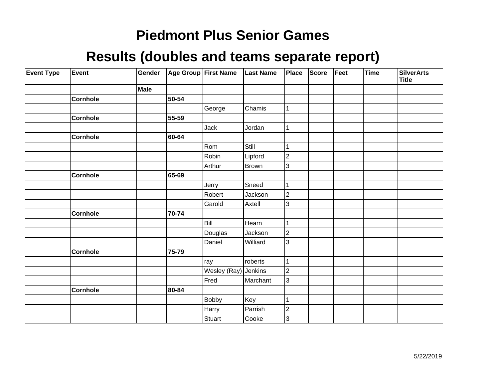| <b>Event Type</b> | Event           | Gender      |       | Age Group First Name | <b>Last Name</b> | Place                   | Score | Feet | Time | <b>SilverArts</b><br><b>Title</b> |
|-------------------|-----------------|-------------|-------|----------------------|------------------|-------------------------|-------|------|------|-----------------------------------|
|                   |                 | <b>Male</b> |       |                      |                  |                         |       |      |      |                                   |
|                   | <b>Cornhole</b> |             | 50-54 |                      |                  |                         |       |      |      |                                   |
|                   |                 |             |       | George               | Chamis           | 1                       |       |      |      |                                   |
|                   | <b>Cornhole</b> |             | 55-59 |                      |                  |                         |       |      |      |                                   |
|                   |                 |             |       | Jack                 | Jordan           | 1                       |       |      |      |                                   |
|                   | <b>Cornhole</b> |             | 60-64 |                      |                  |                         |       |      |      |                                   |
|                   |                 |             |       | Rom                  | Still            | 1                       |       |      |      |                                   |
|                   |                 |             |       | Robin                | Lipford          | $\overline{\mathbf{c}}$ |       |      |      |                                   |
|                   |                 |             |       | Arthur               | Brown            | 3                       |       |      |      |                                   |
|                   | <b>Cornhole</b> |             | 65-69 |                      |                  |                         |       |      |      |                                   |
|                   |                 |             |       | Jerry                | Sneed            | 1                       |       |      |      |                                   |
|                   |                 |             |       | Robert               | Jackson          | $\overline{2}$          |       |      |      |                                   |
|                   |                 |             |       | Garold               | Axtell           | 3                       |       |      |      |                                   |
|                   | <b>Cornhole</b> |             | 70-74 |                      |                  |                         |       |      |      |                                   |
|                   |                 |             |       | Bill                 | Hearn            |                         |       |      |      |                                   |
|                   |                 |             |       | Douglas              | Jackson          | $\overline{2}$          |       |      |      |                                   |
|                   |                 |             |       | Daniel               | Williard         | 3                       |       |      |      |                                   |
|                   | <b>Cornhole</b> |             | 75-79 |                      |                  |                         |       |      |      |                                   |
|                   |                 |             |       | ray                  | roberts          | $\mathbf{1}$            |       |      |      |                                   |
|                   |                 |             |       | Wesley (Ray) Jenkins |                  | $\overline{2}$          |       |      |      |                                   |
|                   |                 |             |       | Fred                 | Marchant         | $\overline{3}$          |       |      |      |                                   |
|                   | <b>Cornhole</b> |             | 80-84 |                      |                  |                         |       |      |      |                                   |
|                   |                 |             |       | Bobby                | Key              | 1                       |       |      |      |                                   |
|                   |                 |             |       | Harry                | Parrish          | $\overline{2}$          |       |      |      |                                   |
|                   |                 |             |       | Stuart               | Cooke            | 3                       |       |      |      |                                   |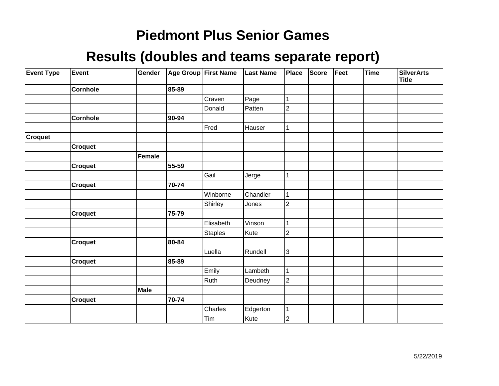| <b>Event Type</b> | Event           | Gender      |       | Age Group First Name | <b>Last Name</b> | Place          | <b>Score</b> | Feet | Time | <b>SilverArts</b><br><b>Title</b> |
|-------------------|-----------------|-------------|-------|----------------------|------------------|----------------|--------------|------|------|-----------------------------------|
|                   | <b>Cornhole</b> |             | 85-89 |                      |                  |                |              |      |      |                                   |
|                   |                 |             |       | Craven               | Page             | 1              |              |      |      |                                   |
|                   |                 |             |       | Donald               | Patten           | $\overline{2}$ |              |      |      |                                   |
|                   | <b>Cornhole</b> |             | 90-94 |                      |                  |                |              |      |      |                                   |
|                   |                 |             |       | Fred                 | Hauser           | 1              |              |      |      |                                   |
| <b>Croquet</b>    |                 |             |       |                      |                  |                |              |      |      |                                   |
|                   | Croquet         |             |       |                      |                  |                |              |      |      |                                   |
|                   |                 | Female      |       |                      |                  |                |              |      |      |                                   |
|                   | Croquet         |             | 55-59 |                      |                  |                |              |      |      |                                   |
|                   |                 |             |       | Gail                 | Jerge            | 1              |              |      |      |                                   |
|                   | <b>Croquet</b>  |             | 70-74 |                      |                  |                |              |      |      |                                   |
|                   |                 |             |       | Winborne             | Chandler         | 1              |              |      |      |                                   |
|                   |                 |             |       | Shirley              | Jones            | $\overline{2}$ |              |      |      |                                   |
|                   | Croquet         |             | 75-79 |                      |                  |                |              |      |      |                                   |
|                   |                 |             |       | Elisabeth            | Vinson           | 1              |              |      |      |                                   |
|                   |                 |             |       | <b>Staples</b>       | Kute             | $\overline{2}$ |              |      |      |                                   |
|                   | <b>Croquet</b>  |             | 80-84 |                      |                  |                |              |      |      |                                   |
|                   |                 |             |       | Luella               | Rundell          | 3              |              |      |      |                                   |
|                   | Croquet         |             | 85-89 |                      |                  |                |              |      |      |                                   |
|                   |                 |             |       | Emily                | Lambeth          | 1              |              |      |      |                                   |
|                   |                 |             |       | Ruth                 | Deudney          | $\overline{2}$ |              |      |      |                                   |
|                   |                 | <b>Male</b> |       |                      |                  |                |              |      |      |                                   |
|                   | <b>Croquet</b>  |             | 70-74 |                      |                  |                |              |      |      |                                   |
|                   |                 |             |       | Charles              | Edgerton         | $\mathbf{1}$   |              |      |      |                                   |
|                   |                 |             |       | Tim                  | Kute             | $\overline{2}$ |              |      |      |                                   |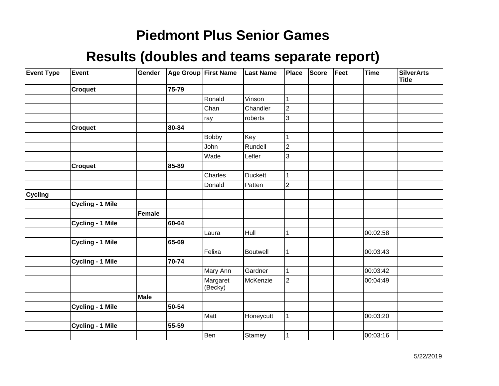| <b>Event Type</b> | Event                   | Gender        |       | Age Group First Name | <b>Last Name</b> | <b>Place</b>   | <b>Score</b> | Feet | Time     | <b>SilverArts</b><br><b>Title</b> |
|-------------------|-------------------------|---------------|-------|----------------------|------------------|----------------|--------------|------|----------|-----------------------------------|
|                   | <b>Croquet</b>          |               | 75-79 |                      |                  |                |              |      |          |                                   |
|                   |                         |               |       | Ronald               | Vinson           | 1              |              |      |          |                                   |
|                   |                         |               |       | Chan                 | Chandler         | $\overline{2}$ |              |      |          |                                   |
|                   |                         |               |       | ray                  | roberts          | 3              |              |      |          |                                   |
|                   | <b>Croquet</b>          |               | 80-84 |                      |                  |                |              |      |          |                                   |
|                   |                         |               |       | <b>Bobby</b>         | Key              | 1              |              |      |          |                                   |
|                   |                         |               |       | John                 | Rundell          | $\overline{2}$ |              |      |          |                                   |
|                   |                         |               |       | Wade                 | Lefler           | 3              |              |      |          |                                   |
|                   | <b>Croquet</b>          |               | 85-89 |                      |                  |                |              |      |          |                                   |
|                   |                         |               |       | Charles              | <b>Duckett</b>   | 1              |              |      |          |                                   |
|                   |                         |               |       | Donald               | Patten           | $\overline{2}$ |              |      |          |                                   |
| <b>Cycling</b>    |                         |               |       |                      |                  |                |              |      |          |                                   |
|                   | <b>Cycling - 1 Mile</b> |               |       |                      |                  |                |              |      |          |                                   |
|                   |                         | <b>Female</b> |       |                      |                  |                |              |      |          |                                   |
|                   | Cycling - 1 Mile        |               | 60-64 |                      |                  |                |              |      |          |                                   |
|                   |                         |               |       | Laura                | Hull             | 1              |              |      | 00:02:58 |                                   |
|                   | <b>Cycling - 1 Mile</b> |               | 65-69 |                      |                  |                |              |      |          |                                   |
|                   |                         |               |       | Felixa               | Boutwell         | $\mathbf{1}$   |              |      | 00:03:43 |                                   |
|                   | <b>Cycling - 1 Mile</b> |               | 70-74 |                      |                  |                |              |      |          |                                   |
|                   |                         |               |       | Mary Ann             | Gardner          | 1              |              |      | 00:03:42 |                                   |
|                   |                         |               |       | Margaret<br>(Becky)  | McKenzie         | $\overline{2}$ |              |      | 00:04:49 |                                   |
|                   |                         | <b>Male</b>   |       |                      |                  |                |              |      |          |                                   |
|                   | <b>Cycling - 1 Mile</b> |               | 50-54 |                      |                  |                |              |      |          |                                   |
|                   |                         |               |       | Matt                 | Honeycutt        | $\mathbf{1}$   |              |      | 00:03:20 |                                   |
|                   | <b>Cycling - 1 Mile</b> |               | 55-59 |                      |                  |                |              |      |          |                                   |
|                   |                         |               |       | Ben                  | Stamey           | 1              |              |      | 00:03:16 |                                   |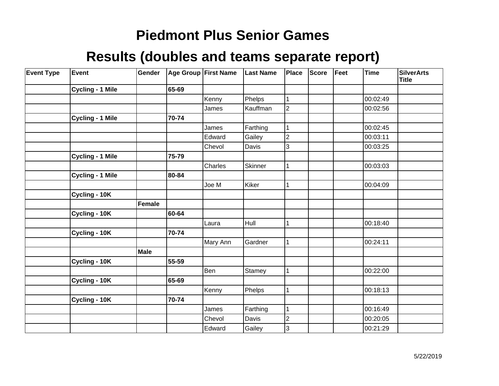| <b>Event Type</b> | Event                   | Gender      | Age Group First Name |          | <b>Last Name</b> | Place          | <b>Score</b> | Feet | <b>Time</b> | <b>SilverArts</b><br><b>Title</b> |
|-------------------|-------------------------|-------------|----------------------|----------|------------------|----------------|--------------|------|-------------|-----------------------------------|
|                   | Cycling - 1 Mile        |             | 65-69                |          |                  |                |              |      |             |                                   |
|                   |                         |             |                      | Kenny    | Phelps           | 1              |              |      | 00:02:49    |                                   |
|                   |                         |             |                      | James    | Kauffman         | $\overline{2}$ |              |      | 00:02:56    |                                   |
|                   | <b>Cycling - 1 Mile</b> |             | 70-74                |          |                  |                |              |      |             |                                   |
|                   |                         |             |                      | James    | Farthing         | 1              |              |      | 00:02:45    |                                   |
|                   |                         |             |                      | Edward   | Gailey           | $\overline{2}$ |              |      | 00:03:11    |                                   |
|                   |                         |             |                      | Chevol   | Davis            | 3              |              |      | 00:03:25    |                                   |
|                   | Cycling - 1 Mile        |             | 75-79                |          |                  |                |              |      |             |                                   |
|                   |                         |             |                      | Charles  | <b>Skinner</b>   | 1              |              |      | 00:03:03    |                                   |
|                   | <b>Cycling - 1 Mile</b> |             | 80-84                |          |                  |                |              |      |             |                                   |
|                   |                         |             |                      | Joe M    | Kiker            | 1              |              |      | 00:04:09    |                                   |
|                   | Cycling - 10K           |             |                      |          |                  |                |              |      |             |                                   |
|                   |                         | Female      |                      |          |                  |                |              |      |             |                                   |
|                   | Cycling - 10K           |             | 60-64                |          |                  |                |              |      |             |                                   |
|                   |                         |             |                      | Laura    | Hull             | 1              |              |      | 00:18:40    |                                   |
|                   | Cycling - 10K           |             | 70-74                |          |                  |                |              |      |             |                                   |
|                   |                         |             |                      | Mary Ann | Gardner          | 1              |              |      | 00:24:11    |                                   |
|                   |                         | <b>Male</b> |                      |          |                  |                |              |      |             |                                   |
|                   | Cycling - 10K           |             | 55-59                |          |                  |                |              |      |             |                                   |
|                   |                         |             |                      | Ben      | Stamey           | 1              |              |      | 00:22:00    |                                   |
|                   | Cycling - 10K           |             | 65-69                |          |                  |                |              |      |             |                                   |
|                   |                         |             |                      | Kenny    | Phelps           | 1              |              |      | 00:18:13    |                                   |
|                   | Cycling - 10K           |             | 70-74                |          |                  |                |              |      |             |                                   |
|                   |                         |             |                      | James    | Farthing         | 1              |              |      | 00:16:49    |                                   |
|                   |                         |             |                      | Chevol   | Davis            | 2              |              |      | 00:20:05    |                                   |
|                   |                         |             |                      | Edward   | Gailey           | 3              |              |      | 00:21:29    |                                   |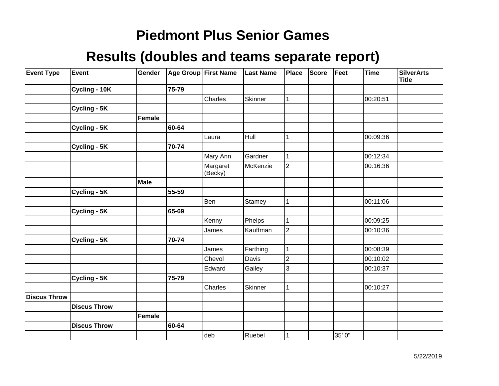| <b>Event Type</b>   | Event               | Gender |       | Age Group First Name | <b>Last Name</b> | Place          | <b>Score</b> | Feet   | <b>Time</b> | <b>SilverArts</b><br><b>Title</b> |
|---------------------|---------------------|--------|-------|----------------------|------------------|----------------|--------------|--------|-------------|-----------------------------------|
|                     | Cycling - 10K       |        | 75-79 |                      |                  |                |              |        |             |                                   |
|                     |                     |        |       | Charles              | <b>Skinner</b>   | 1              |              |        | 00:20:51    |                                   |
|                     | Cycling - 5K        |        |       |                      |                  |                |              |        |             |                                   |
|                     |                     | Female |       |                      |                  |                |              |        |             |                                   |
|                     | Cycling - 5K        |        | 60-64 |                      |                  |                |              |        |             |                                   |
|                     |                     |        |       | Laura                | Hull             | 1              |              |        | 00:09:36    |                                   |
|                     | Cycling - 5K        |        | 70-74 |                      |                  |                |              |        |             |                                   |
|                     |                     |        |       | Mary Ann             | Gardner          | 1              |              |        | 00:12:34    |                                   |
|                     |                     |        |       | Margaret<br>(Becky)  | McKenzie         | $\overline{2}$ |              |        | 00:16:36    |                                   |
|                     |                     | Male   |       |                      |                  |                |              |        |             |                                   |
|                     | Cycling - 5K        |        | 55-59 |                      |                  |                |              |        |             |                                   |
|                     |                     |        |       | Ben                  | Stamey           | $\mathbf{1}$   |              |        | 00:11:06    |                                   |
|                     | Cycling - 5K        |        | 65-69 |                      |                  |                |              |        |             |                                   |
|                     |                     |        |       | Kenny                | Phelps           | 1              |              |        | 00:09:25    |                                   |
|                     |                     |        |       | James                | Kauffman         | $\overline{2}$ |              |        | 00:10:36    |                                   |
|                     | Cycling - 5K        |        | 70-74 |                      |                  |                |              |        |             |                                   |
|                     |                     |        |       | James                | Farthing         | 1              |              |        | 00:08:39    |                                   |
|                     |                     |        |       | Chevol               | Davis            | 2              |              |        | 00:10:02    |                                   |
|                     |                     |        |       | Edward               | Gailey           | 3              |              |        | 00:10:37    |                                   |
|                     | Cycling - 5K        |        | 75-79 |                      |                  |                |              |        |             |                                   |
|                     |                     |        |       | Charles              | Skinner          | 1              |              |        | 00:10:27    |                                   |
| <b>Discus Throw</b> |                     |        |       |                      |                  |                |              |        |             |                                   |
|                     | <b>Discus Throw</b> |        |       |                      |                  |                |              |        |             |                                   |
|                     |                     | Female |       |                      |                  |                |              |        |             |                                   |
|                     | <b>Discus Throw</b> |        | 60-64 |                      |                  |                |              |        |             |                                   |
|                     |                     |        |       | deb                  | Ruebel           |                |              | 35' 0" |             |                                   |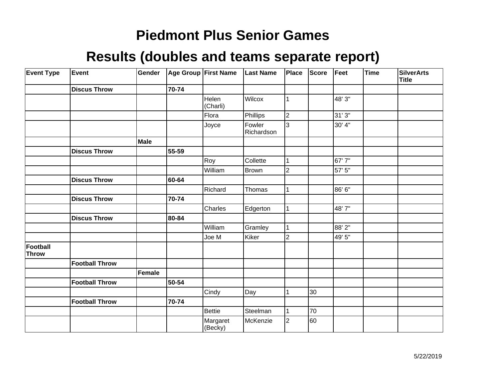| <b>Event Type</b>               | Event                 | Gender |       | Age Group First Name | <b>Last Name</b>     | Place          | <b>Score</b> | Feet   | <b>Time</b> | <b>SilverArts</b><br><b>Title</b> |
|---------------------------------|-----------------------|--------|-------|----------------------|----------------------|----------------|--------------|--------|-------------|-----------------------------------|
|                                 | <b>Discus Throw</b>   |        | 70-74 |                      |                      |                |              |        |             |                                   |
|                                 |                       |        |       | Helen<br>(Charli)    | Wilcox               | 1              |              | 48' 3" |             |                                   |
|                                 |                       |        |       | Flora                | Phillips             | $\overline{2}$ |              | 31' 3" |             |                                   |
|                                 |                       |        |       | Joyce                | Fowler<br>Richardson | 3              |              | 30' 4" |             |                                   |
|                                 |                       | Male   |       |                      |                      |                |              |        |             |                                   |
|                                 | <b>Discus Throw</b>   |        | 55-59 |                      |                      |                |              |        |             |                                   |
|                                 |                       |        |       | Roy                  | Collette             |                |              | 67'7"  |             |                                   |
|                                 |                       |        |       | William              | Brown                | $\overline{2}$ |              | 57' 5" |             |                                   |
|                                 | <b>Discus Throw</b>   |        | 60-64 |                      |                      |                |              |        |             |                                   |
|                                 |                       |        |       | Richard              | Thomas               | 1              |              | 86'6"  |             |                                   |
|                                 | <b>Discus Throw</b>   |        | 70-74 |                      |                      |                |              |        |             |                                   |
|                                 |                       |        |       | Charles              | Edgerton             | 1              |              | 48'7"  |             |                                   |
|                                 | <b>Discus Throw</b>   |        | 80-84 |                      |                      |                |              |        |             |                                   |
|                                 |                       |        |       | William              | Gramley              | 1              |              | 88'2"  |             |                                   |
|                                 |                       |        |       | Joe M                | Kiker                | $\overline{2}$ |              | 49' 5" |             |                                   |
| <b>Football</b><br><b>Throw</b> |                       |        |       |                      |                      |                |              |        |             |                                   |
|                                 | <b>Football Throw</b> |        |       |                      |                      |                |              |        |             |                                   |
|                                 |                       | Female |       |                      |                      |                |              |        |             |                                   |
|                                 | <b>Football Throw</b> |        | 50-54 |                      |                      |                |              |        |             |                                   |
|                                 |                       |        |       | Cindy                | Day                  |                | 30           |        |             |                                   |
|                                 | <b>Football Throw</b> |        | 70-74 |                      |                      |                |              |        |             |                                   |
|                                 |                       |        |       | Bettie               | Steelman             | 1              | 70           |        |             |                                   |
|                                 |                       |        |       | Margaret<br>(Becky)  | McKenzie             | $\overline{2}$ | 60           |        |             |                                   |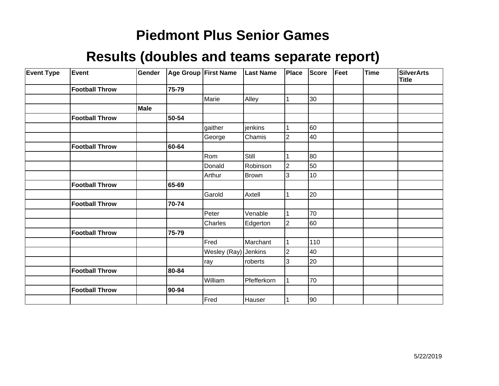| <b>Event Type</b> | <b>Event</b>          | Gender |       | Age Group First Name | <b>Last Name</b> | Place          | <b>Score</b> | Feet | <b>Time</b> | <b>SilverArts</b><br><b>Title</b> |
|-------------------|-----------------------|--------|-------|----------------------|------------------|----------------|--------------|------|-------------|-----------------------------------|
|                   | <b>Football Throw</b> |        | 75-79 |                      |                  |                |              |      |             |                                   |
|                   |                       |        |       | Marie                | Alley            |                | 30           |      |             |                                   |
|                   |                       | Male   |       |                      |                  |                |              |      |             |                                   |
|                   | <b>Football Throw</b> |        | 50-54 |                      |                  |                |              |      |             |                                   |
|                   |                       |        |       | gaither              | jenkins          |                | 60           |      |             |                                   |
|                   |                       |        |       | George               | Chamis           | $\overline{2}$ | 40           |      |             |                                   |
|                   | <b>Football Throw</b> |        | 60-64 |                      |                  |                |              |      |             |                                   |
|                   |                       |        |       | Rom                  | Still            |                | 80           |      |             |                                   |
|                   |                       |        |       | Donald               | Robinson         | $\overline{2}$ | 50           |      |             |                                   |
|                   |                       |        |       | Arthur               | Brown            | 3              | 10           |      |             |                                   |
|                   | <b>Football Throw</b> |        | 65-69 |                      |                  |                |              |      |             |                                   |
|                   |                       |        |       | Garold               | Axtell           |                | 20           |      |             |                                   |
|                   | <b>Football Throw</b> |        | 70-74 |                      |                  |                |              |      |             |                                   |
|                   |                       |        |       | Peter                | Venable          |                | 70           |      |             |                                   |
|                   |                       |        |       | Charles              | Edgerton         | $\overline{2}$ | 60           |      |             |                                   |
|                   | <b>Football Throw</b> |        | 75-79 |                      |                  |                |              |      |             |                                   |
|                   |                       |        |       | Fred                 | Marchant         |                | 110          |      |             |                                   |
|                   |                       |        |       | Wesley (Ray) Jenkins |                  | $\overline{2}$ | 40           |      |             |                                   |
|                   |                       |        |       | ray                  | roberts          | 3              | 20           |      |             |                                   |
|                   | <b>Football Throw</b> |        | 80-84 |                      |                  |                |              |      |             |                                   |
|                   |                       |        |       | William              | Pfefferkorn      |                | 70           |      |             |                                   |
|                   | <b>Football Throw</b> |        | 90-94 |                      |                  |                |              |      |             |                                   |
|                   |                       |        |       | Fred                 | Hauser           |                | 90           |      |             |                                   |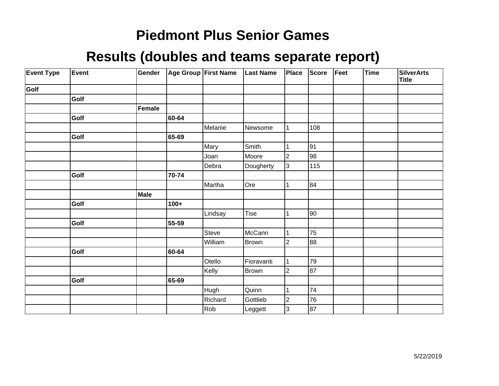| <b>Event Type</b> | Event | Gender      |        | Age Group First Name | <b>Last Name</b> | Place          | Score | Feet | Time | <b>SilverArts</b><br><b>Title</b> |
|-------------------|-------|-------------|--------|----------------------|------------------|----------------|-------|------|------|-----------------------------------|
| Golf              |       |             |        |                      |                  |                |       |      |      |                                   |
|                   | Golf  |             |        |                      |                  |                |       |      |      |                                   |
|                   |       | Female      |        |                      |                  |                |       |      |      |                                   |
|                   | Golf  |             | 60-64  |                      |                  |                |       |      |      |                                   |
|                   |       |             |        | Melanie              | Newsome          |                | 108   |      |      |                                   |
|                   | Golf  |             | 65-69  |                      |                  |                |       |      |      |                                   |
|                   |       |             |        | Mary                 | Smith            |                | 91    |      |      |                                   |
|                   |       |             |        | Joan                 | Moore            | $\overline{2}$ | 98    |      |      |                                   |
|                   |       |             |        | Debra                | Dougherty        | 3              | 115   |      |      |                                   |
|                   | Golf  |             | 70-74  |                      |                  |                |       |      |      |                                   |
|                   |       |             |        | Martha               | Ore              |                | 84    |      |      |                                   |
|                   |       | <b>Male</b> |        |                      |                  |                |       |      |      |                                   |
|                   | Golf  |             | $100+$ |                      |                  |                |       |      |      |                                   |
|                   |       |             |        | Lindsay              | Tise             |                | 90    |      |      |                                   |
|                   | Golf  |             | 55-59  |                      |                  |                |       |      |      |                                   |
|                   |       |             |        | Steve                | McCann           |                | 75    |      |      |                                   |
|                   |       |             |        | William              | <b>Brown</b>     | $\overline{2}$ | 88    |      |      |                                   |
|                   | Golf  |             | 60-64  |                      |                  |                |       |      |      |                                   |
|                   |       |             |        | Otello               | Fioravanti       |                | 79    |      |      |                                   |
|                   |       |             |        | Kelly                | <b>Brown</b>     | 2              | 87    |      |      |                                   |
|                   | Golf  |             | 65-69  |                      |                  |                |       |      |      |                                   |
|                   |       |             |        | Hugh                 | Quinn            |                | 74    |      |      |                                   |
|                   |       |             |        | Richard              | Gottlieb         | $\overline{2}$ | 76    |      |      |                                   |
|                   |       |             |        | Rob                  | Leggett          | 3              | 87    |      |      |                                   |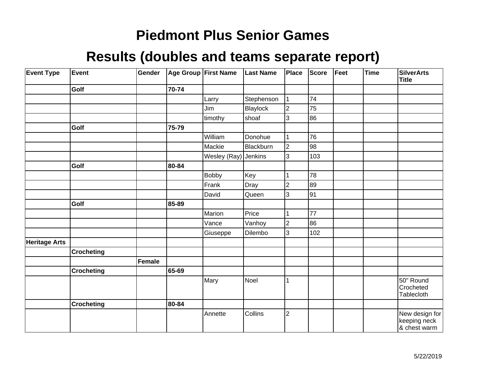| <b>Event Type</b>    | Event             | Gender        |       | Age Group First Name | <b>Last Name</b> | <b>Place</b>   | <b>Score</b> | Feet | <b>Time</b> | <b>SilverArts</b><br><b>Title</b>              |
|----------------------|-------------------|---------------|-------|----------------------|------------------|----------------|--------------|------|-------------|------------------------------------------------|
|                      | Golf              |               | 70-74 |                      |                  |                |              |      |             |                                                |
|                      |                   |               |       | Larry                | Stephenson       |                | 74           |      |             |                                                |
|                      |                   |               |       | Jim                  | Blaylock         | $\overline{2}$ | 75           |      |             |                                                |
|                      |                   |               |       | timothy              | shoaf            | 3              | 86           |      |             |                                                |
|                      | Golf              |               | 75-79 |                      |                  |                |              |      |             |                                                |
|                      |                   |               |       | William              | Donohue          |                | 76           |      |             |                                                |
|                      |                   |               |       | Mackie               | Blackburn        | $\overline{2}$ | 98           |      |             |                                                |
|                      |                   |               |       | Wesley (Ray) Jenkins |                  | 3              | 103          |      |             |                                                |
|                      | Golf              |               | 80-84 |                      |                  |                |              |      |             |                                                |
|                      |                   |               |       | <b>Bobby</b>         | Key              |                | 78           |      |             |                                                |
|                      |                   |               |       | Frank                | Dray             | $\overline{2}$ | 89           |      |             |                                                |
|                      |                   |               |       | David                | Queen            | 3              | 91           |      |             |                                                |
|                      | Golf              |               | 85-89 |                      |                  |                |              |      |             |                                                |
|                      |                   |               |       | Marion               | Price            |                | 77           |      |             |                                                |
|                      |                   |               |       | Vance                | Vanhoy           | $\overline{2}$ | 86           |      |             |                                                |
|                      |                   |               |       | Giuseppe             | Dilembo          | 3              | 102          |      |             |                                                |
| <b>Heritage Arts</b> |                   |               |       |                      |                  |                |              |      |             |                                                |
|                      | <b>Crocheting</b> |               |       |                      |                  |                |              |      |             |                                                |
|                      |                   | <b>Female</b> |       |                      |                  |                |              |      |             |                                                |
|                      | <b>Crocheting</b> |               | 65-69 |                      |                  |                |              |      |             |                                                |
|                      |                   |               |       | Mary                 | Noel             |                |              |      |             | 50" Round<br>Crocheted<br>Tablecloth           |
|                      | <b>Crocheting</b> |               | 80-84 |                      |                  |                |              |      |             |                                                |
|                      |                   |               |       | Annette              | Collins          | $\overline{2}$ |              |      |             | New design for<br>keeping neck<br>& chest warm |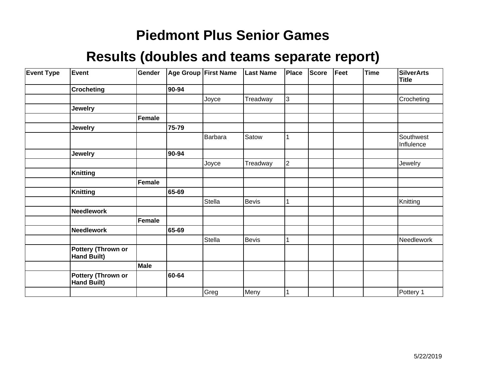| <b>Event Type</b> | Event                                    | Gender        |       | Age Group First Name | <b>Last Name</b> | Place          | Score | Feet | <b>Time</b> | <b>SilverArts</b><br><b>Title</b> |
|-------------------|------------------------------------------|---------------|-------|----------------------|------------------|----------------|-------|------|-------------|-----------------------------------|
|                   | <b>Crocheting</b>                        |               | 90-94 |                      |                  |                |       |      |             |                                   |
|                   |                                          |               |       | Joyce                | Treadway         | 3              |       |      |             | Crocheting                        |
|                   | <b>Jewelry</b>                           |               |       |                      |                  |                |       |      |             |                                   |
|                   |                                          | <b>Female</b> |       |                      |                  |                |       |      |             |                                   |
|                   | <b>Jewelry</b>                           |               | 75-79 |                      |                  |                |       |      |             |                                   |
|                   |                                          |               |       | Barbara              | Satow            |                |       |      |             | Southwest<br>Influlence           |
|                   | <b>Jewelry</b>                           |               | 90-94 |                      |                  |                |       |      |             |                                   |
|                   |                                          |               |       | Joyce                | Treadway         | $\overline{2}$ |       |      |             | Jewelry                           |
|                   | <b>Knitting</b>                          |               |       |                      |                  |                |       |      |             |                                   |
|                   |                                          | <b>Female</b> |       |                      |                  |                |       |      |             |                                   |
|                   | <b>Knitting</b>                          |               | 65-69 |                      |                  |                |       |      |             |                                   |
|                   |                                          |               |       | <b>Stella</b>        | <b>Bevis</b>     |                |       |      |             | Knitting                          |
|                   | <b>Needlework</b>                        |               |       |                      |                  |                |       |      |             |                                   |
|                   |                                          | <b>Female</b> |       |                      |                  |                |       |      |             |                                   |
|                   | <b>Needlework</b>                        |               | 65-69 |                      |                  |                |       |      |             |                                   |
|                   |                                          |               |       | Stella               | Bevis            | 1              |       |      |             | Needlework                        |
|                   | Pottery (Thrown or<br><b>Hand Built)</b> |               |       |                      |                  |                |       |      |             |                                   |
|                   |                                          | Male          |       |                      |                  |                |       |      |             |                                   |
|                   | Pottery (Thrown or<br><b>Hand Built)</b> |               | 60-64 |                      |                  |                |       |      |             |                                   |
|                   |                                          |               |       | Greg                 | Meny             | $\mathbf{1}$   |       |      |             | Pottery 1                         |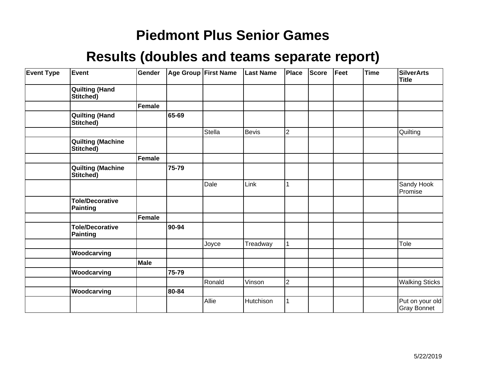| <b>Event Type</b> | Event                                     | Gender        |       | Age Group First Name | <b>Last Name</b> | Place          | <b>Score</b> | Feet | <b>Time</b> | <b>SilverArts</b><br><b>Title</b>     |
|-------------------|-------------------------------------------|---------------|-------|----------------------|------------------|----------------|--------------|------|-------------|---------------------------------------|
|                   | <b>Quilting (Hand</b><br>Stitched)        |               |       |                      |                  |                |              |      |             |                                       |
|                   |                                           | <b>Female</b> |       |                      |                  |                |              |      |             |                                       |
|                   | <b>Quilting (Hand</b><br>Stitched)        |               | 65-69 |                      |                  |                |              |      |             |                                       |
|                   |                                           |               |       | Stella               | <b>Bevis</b>     | $\overline{2}$ |              |      |             | Quilting                              |
|                   | <b>Quilting (Machine</b><br>Stitched)     |               |       |                      |                  |                |              |      |             |                                       |
|                   |                                           | Female        |       |                      |                  |                |              |      |             |                                       |
|                   | <b>Quilting (Machine</b><br>Stitched)     |               | 75-79 |                      |                  |                |              |      |             |                                       |
|                   |                                           |               |       | Dale                 | Link             |                |              |      |             | Sandy Hook<br>Promise                 |
|                   | <b>Tole/Decorative</b><br><b>Painting</b> |               |       |                      |                  |                |              |      |             |                                       |
|                   |                                           | Female        |       |                      |                  |                |              |      |             |                                       |
|                   | <b>Tole/Decorative</b><br><b>Painting</b> |               | 90-94 |                      |                  |                |              |      |             |                                       |
|                   |                                           |               |       | Joyce                | Treadway         |                |              |      |             | Tole                                  |
|                   | Woodcarving                               |               |       |                      |                  |                |              |      |             |                                       |
|                   |                                           | Male          |       |                      |                  |                |              |      |             |                                       |
|                   | Woodcarving                               |               | 75-79 |                      |                  |                |              |      |             |                                       |
|                   |                                           |               |       | Ronald               | Vinson           | $\overline{2}$ |              |      |             | <b>Walking Sticks</b>                 |
|                   | Woodcarving                               |               | 80-84 |                      |                  |                |              |      |             |                                       |
|                   |                                           |               |       | Allie                | Hutchison        |                |              |      |             | Put on your old<br><b>Gray Bonnet</b> |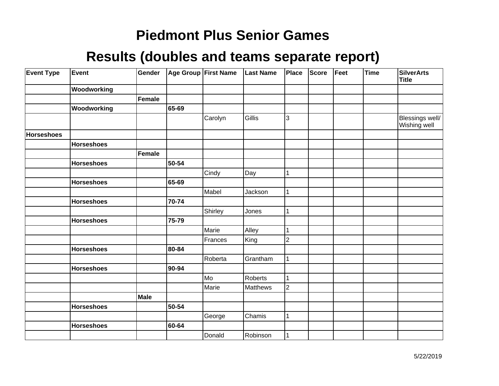| <b>Event Type</b> | Event             | Gender |       | Age Group First Name | <b>Last Name</b> | Place          | <b>Score</b> | Feet | <b>Time</b> | <b>SilverArts</b><br><b>Title</b> |
|-------------------|-------------------|--------|-------|----------------------|------------------|----------------|--------------|------|-------------|-----------------------------------|
|                   | Woodworking       |        |       |                      |                  |                |              |      |             |                                   |
|                   |                   | Female |       |                      |                  |                |              |      |             |                                   |
|                   | Woodworking       |        | 65-69 |                      |                  |                |              |      |             |                                   |
|                   |                   |        |       | Carolyn              | Gillis           | 3              |              |      |             | Blessings well/<br>Wishing well   |
| <b>Horseshoes</b> |                   |        |       |                      |                  |                |              |      |             |                                   |
|                   | <b>Horseshoes</b> |        |       |                      |                  |                |              |      |             |                                   |
|                   |                   | Female |       |                      |                  |                |              |      |             |                                   |
|                   | <b>Horseshoes</b> |        | 50-54 |                      |                  |                |              |      |             |                                   |
|                   |                   |        |       | Cindy                | Day              | 1              |              |      |             |                                   |
|                   | <b>Horseshoes</b> |        | 65-69 |                      |                  |                |              |      |             |                                   |
|                   |                   |        |       | Mabel                | Jackson          | 1              |              |      |             |                                   |
|                   | <b>Horseshoes</b> |        | 70-74 |                      |                  |                |              |      |             |                                   |
|                   |                   |        |       | Shirley              | Jones            | 1              |              |      |             |                                   |
|                   | <b>Horseshoes</b> |        | 75-79 |                      |                  |                |              |      |             |                                   |
|                   |                   |        |       | Marie                | Alley            | 1              |              |      |             |                                   |
|                   |                   |        |       | Frances              | King             | $\overline{2}$ |              |      |             |                                   |
|                   | <b>Horseshoes</b> |        | 80-84 |                      |                  |                |              |      |             |                                   |
|                   |                   |        |       | Roberta              | Grantham         | 1              |              |      |             |                                   |
|                   | <b>Horseshoes</b> |        | 90-94 |                      |                  |                |              |      |             |                                   |
|                   |                   |        |       | Mo                   | Roberts          | 1              |              |      |             |                                   |
|                   |                   |        |       | Marie                | Matthews         | $\overline{2}$ |              |      |             |                                   |
|                   |                   | Male   |       |                      |                  |                |              |      |             |                                   |
|                   | <b>Horseshoes</b> |        | 50-54 |                      |                  |                |              |      |             |                                   |
|                   |                   |        |       | George               | Chamis           | $\mathbf 1$    |              |      |             |                                   |
|                   | <b>Horseshoes</b> |        | 60-64 |                      |                  |                |              |      |             |                                   |
|                   |                   |        |       | Donald               | Robinson         | 1              |              |      |             |                                   |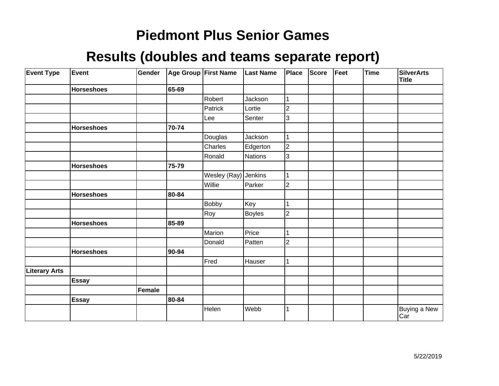| <b>Event Type</b>    | <b>Event</b>      | Gender |       | Age Group First Name | <b>Last Name</b> | Place          | <b>Score</b> | Feet | <b>Time</b> | <b>SilverArts</b><br><b>Title</b> |
|----------------------|-------------------|--------|-------|----------------------|------------------|----------------|--------------|------|-------------|-----------------------------------|
|                      | <b>Horseshoes</b> |        | 65-69 |                      |                  |                |              |      |             |                                   |
|                      |                   |        |       | Robert               | Jackson          |                |              |      |             |                                   |
|                      |                   |        |       | Patrick              | Lortie           | $\overline{2}$ |              |      |             |                                   |
|                      |                   |        |       | Lee                  | Senter           | 3              |              |      |             |                                   |
|                      | <b>Horseshoes</b> |        | 70-74 |                      |                  |                |              |      |             |                                   |
|                      |                   |        |       | Douglas              | Jackson          |                |              |      |             |                                   |
|                      |                   |        |       | Charles              | Edgerton         | $\overline{2}$ |              |      |             |                                   |
|                      |                   |        |       | Ronald               | Nations          | 3              |              |      |             |                                   |
|                      | <b>Horseshoes</b> |        | 75-79 |                      |                  |                |              |      |             |                                   |
|                      |                   |        |       | Wesley (Ray)         | Jenkins          |                |              |      |             |                                   |
|                      |                   |        |       | Willie               | Parker           | 2              |              |      |             |                                   |
|                      | <b>Horseshoes</b> |        | 80-84 |                      |                  |                |              |      |             |                                   |
|                      |                   |        |       | <b>Bobby</b>         | Key              |                |              |      |             |                                   |
|                      |                   |        |       | Roy                  | <b>Boyles</b>    | 2              |              |      |             |                                   |
|                      | <b>Horseshoes</b> |        | 85-89 |                      |                  |                |              |      |             |                                   |
|                      |                   |        |       | Marion               | Price            |                |              |      |             |                                   |
|                      |                   |        |       | Donald               | Patten           | $\overline{c}$ |              |      |             |                                   |
|                      | <b>Horseshoes</b> |        | 90-94 |                      |                  |                |              |      |             |                                   |
|                      |                   |        |       | Fred                 | Hauser           |                |              |      |             |                                   |
| <b>Literary Arts</b> |                   |        |       |                      |                  |                |              |      |             |                                   |
|                      | Essay             |        |       |                      |                  |                |              |      |             |                                   |
|                      |                   | Female |       |                      |                  |                |              |      |             |                                   |
|                      | <b>Essay</b>      |        | 80-84 |                      |                  |                |              |      |             |                                   |
|                      |                   |        |       | Helen                | Webb             |                |              |      |             | Buying a New<br>Car               |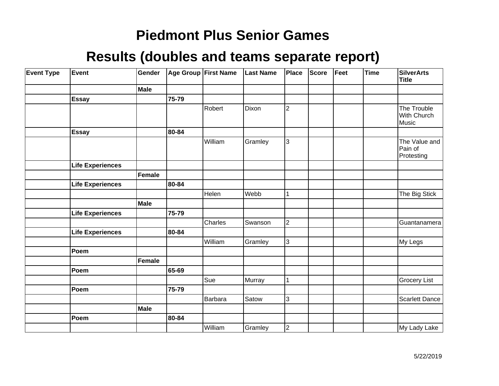| <b>Event Type</b> | Event                   | Gender      |       | Age Group First Name | <b>Last Name</b> | Place          | Score | Feet | Time | <b>SilverArts</b><br><b>Title</b>      |
|-------------------|-------------------------|-------------|-------|----------------------|------------------|----------------|-------|------|------|----------------------------------------|
|                   |                         | Male        |       |                      |                  |                |       |      |      |                                        |
|                   | <b>Essay</b>            |             | 75-79 |                      |                  |                |       |      |      |                                        |
|                   |                         |             |       | Robert               | Dixon            | $\overline{2}$ |       |      |      | The Trouble<br>With Church<br>Music    |
|                   | <b>Essay</b>            |             | 80-84 |                      |                  |                |       |      |      |                                        |
|                   |                         |             |       | William              | Gramley          | 3              |       |      |      | The Value and<br>Pain of<br>Protesting |
|                   | Life Experiences        |             |       |                      |                  |                |       |      |      |                                        |
|                   |                         | Female      |       |                      |                  |                |       |      |      |                                        |
|                   | <b>Life Experiences</b> |             | 80-84 |                      |                  |                |       |      |      |                                        |
|                   |                         |             |       | Helen                | Webb             | 1              |       |      |      | The Big Stick                          |
|                   |                         | <b>Male</b> |       |                      |                  |                |       |      |      |                                        |
|                   | <b>Life Experiences</b> |             | 75-79 |                      |                  |                |       |      |      |                                        |
|                   |                         |             |       | Charles              | Swanson          | $\overline{c}$ |       |      |      | Guantanamera                           |
|                   | <b>Life Experiences</b> |             | 80-84 |                      |                  |                |       |      |      |                                        |
|                   |                         |             |       | William              | Gramley          | $\overline{3}$ |       |      |      | My Legs                                |
|                   | Poem                    |             |       |                      |                  |                |       |      |      |                                        |
|                   |                         | Female      |       |                      |                  |                |       |      |      |                                        |
|                   | Poem                    |             | 65-69 |                      |                  |                |       |      |      |                                        |
|                   |                         |             |       | Sue                  | Murray           | $\mathbf 1$    |       |      |      | <b>Grocery List</b>                    |
|                   | Poem                    |             | 75-79 |                      |                  |                |       |      |      |                                        |
|                   |                         |             |       | Barbara              | Satow            | 3              |       |      |      | <b>Scarlett Dance</b>                  |
|                   |                         | Male        |       |                      |                  |                |       |      |      |                                        |
|                   | Poem                    |             | 80-84 |                      |                  |                |       |      |      |                                        |
|                   |                         |             |       | William              | Gramley          | $\overline{2}$ |       |      |      | My Lady Lake                           |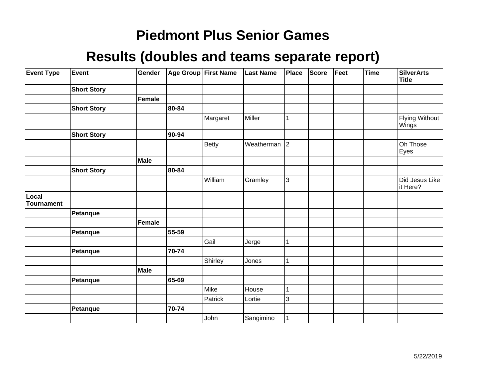| <b>Event Type</b>          | Event              | Gender        |       | Age Group First Name | <b>Last Name</b> | Place     | <b>Score</b> | Feet | Time | <b>SilverArts</b><br>Title     |
|----------------------------|--------------------|---------------|-------|----------------------|------------------|-----------|--------------|------|------|--------------------------------|
|                            | <b>Short Story</b> |               |       |                      |                  |           |              |      |      |                                |
|                            |                    | <b>Female</b> |       |                      |                  |           |              |      |      |                                |
|                            | <b>Short Story</b> |               | 80-84 |                      |                  |           |              |      |      |                                |
|                            |                    |               |       | Margaret             | Miller           | 1         |              |      |      | <b>Flying Without</b><br>Wings |
|                            | <b>Short Story</b> |               | 90-94 |                      |                  |           |              |      |      |                                |
|                            |                    |               |       | <b>Betty</b>         | Weatherman       | $\vert$ 2 |              |      |      | Oh Those<br>Eyes               |
|                            |                    | <b>Male</b>   |       |                      |                  |           |              |      |      |                                |
|                            | <b>Short Story</b> |               | 80-84 |                      |                  |           |              |      |      |                                |
|                            |                    |               |       | William              | Gramley          | 3         |              |      |      | Did Jesus Like<br>it Here?     |
| Local<br><b>Tournament</b> |                    |               |       |                      |                  |           |              |      |      |                                |
|                            | Petanque           |               |       |                      |                  |           |              |      |      |                                |
|                            |                    | <b>Female</b> |       |                      |                  |           |              |      |      |                                |
|                            | Petanque           |               | 55-59 |                      |                  |           |              |      |      |                                |
|                            |                    |               |       | Gail                 | Jerge            | 1         |              |      |      |                                |
|                            | Petanque           |               | 70-74 |                      |                  |           |              |      |      |                                |
|                            |                    |               |       | Shirley              | Jones            | 1         |              |      |      |                                |
|                            |                    | <b>Male</b>   |       |                      |                  |           |              |      |      |                                |
|                            | Petanque           |               | 65-69 |                      |                  |           |              |      |      |                                |
|                            |                    |               |       | Mike                 | House            | 1         |              |      |      |                                |
|                            |                    |               |       | Patrick              | Lortie           | 3         |              |      |      |                                |
|                            | Petanque           |               | 70-74 |                      |                  |           |              |      |      |                                |
|                            |                    |               |       | John                 | Sangimino        | 1         |              |      |      |                                |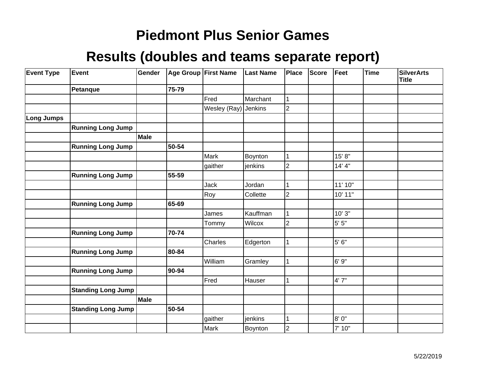| <b>Event Type</b> | <b>Event</b>              | Gender      |       | Age Group First Name | <b>Last Name</b> | Place                   | <b>Score</b> | Feet     | <b>Time</b> | <b>SilverArts</b><br><b>Title</b> |
|-------------------|---------------------------|-------------|-------|----------------------|------------------|-------------------------|--------------|----------|-------------|-----------------------------------|
|                   | <b>Petanque</b>           |             | 75-79 |                      |                  |                         |              |          |             |                                   |
|                   |                           |             |       | Fred                 | Marchant         | 1                       |              |          |             |                                   |
|                   |                           |             |       | Wesley (Ray) Jenkins |                  | $\overline{2}$          |              |          |             |                                   |
| <b>Long Jumps</b> |                           |             |       |                      |                  |                         |              |          |             |                                   |
|                   | <b>Running Long Jump</b>  |             |       |                      |                  |                         |              |          |             |                                   |
|                   |                           | <b>Male</b> |       |                      |                  |                         |              |          |             |                                   |
|                   | <b>Running Long Jump</b>  |             | 50-54 |                      |                  |                         |              |          |             |                                   |
|                   |                           |             |       | Mark                 | Boynton          |                         |              | 15' 8"   |             |                                   |
|                   |                           |             |       | gaither              | jenkins          | $\overline{2}$          |              | 14' 4''  |             |                                   |
|                   | <b>Running Long Jump</b>  |             | 55-59 |                      |                  |                         |              |          |             |                                   |
|                   |                           |             |       | Jack                 | Jordan           |                         |              | 11' 10"  |             |                                   |
|                   |                           |             |       | Roy                  | Collette         | $\overline{2}$          |              | 10' 11"  |             |                                   |
|                   | <b>Running Long Jump</b>  |             | 65-69 |                      |                  |                         |              |          |             |                                   |
|                   |                           |             |       | James                | Kauffman         |                         |              | 10' 3"   |             |                                   |
|                   |                           |             |       | Tommy                | Wilcox           | $\overline{2}$          |              | $5' 5"$  |             |                                   |
|                   | <b>Running Long Jump</b>  |             | 70-74 |                      |                  |                         |              |          |             |                                   |
|                   |                           |             |       | Charles              | Edgerton         | 1                       |              | $5' 6''$ |             |                                   |
|                   | <b>Running Long Jump</b>  |             | 80-84 |                      |                  |                         |              |          |             |                                   |
|                   |                           |             |       | William              | Gramley          | 1                       |              | 6' 9"    |             |                                   |
|                   | <b>Running Long Jump</b>  |             | 90-94 |                      |                  |                         |              |          |             |                                   |
|                   |                           |             |       | Fred                 | Hauser           |                         |              | 4'7''    |             |                                   |
|                   | <b>Standing Long Jump</b> |             |       |                      |                  |                         |              |          |             |                                   |
|                   |                           | Male        |       |                      |                  |                         |              |          |             |                                   |
|                   | <b>Standing Long Jump</b> |             | 50-54 |                      |                  |                         |              |          |             |                                   |
|                   |                           |             |       | gaither              | jenkins          |                         |              | 8'0''    |             |                                   |
|                   |                           |             |       | Mark                 | Boynton          | $\overline{\mathbf{c}}$ |              | 7' 10"   |             |                                   |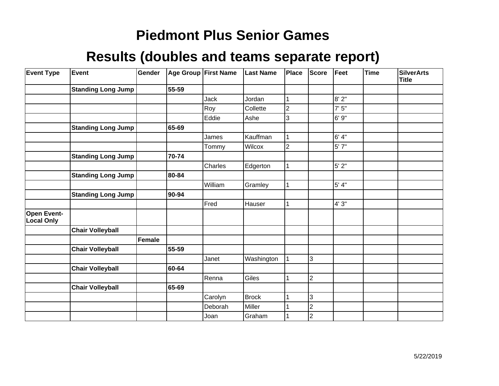| <b>Event Type</b>                       | Event                     | Gender |       | Age Group First Name | <b>Last Name</b> | Place          | <b>Score</b>   | Feet    | <b>Time</b> | <b>SilverArts</b><br><b>Title</b> |
|-----------------------------------------|---------------------------|--------|-------|----------------------|------------------|----------------|----------------|---------|-------------|-----------------------------------|
|                                         | <b>Standing Long Jump</b> |        | 55-59 |                      |                  |                |                |         |             |                                   |
|                                         |                           |        |       | Jack                 | Jordan           |                |                | 8'2"    |             |                                   |
|                                         |                           |        |       | Roy                  | Collette         | $\overline{c}$ |                | 7'5''   |             |                                   |
|                                         |                           |        |       | Eddie                | Ashe             | 3              |                | 6'9''   |             |                                   |
|                                         | <b>Standing Long Jump</b> |        | 65-69 |                      |                  |                |                |         |             |                                   |
|                                         |                           |        |       | James                | Kauffman         |                |                | 6' 4"   |             |                                   |
|                                         |                           |        |       | Tommy                | Wilcox           | 2              |                | $5'$ 7" |             |                                   |
|                                         | <b>Standing Long Jump</b> |        | 70-74 |                      |                  |                |                |         |             |                                   |
|                                         |                           |        |       | Charles              | Edgerton         |                |                | $5'$ 2" |             |                                   |
|                                         | <b>Standing Long Jump</b> |        | 80-84 |                      |                  |                |                |         |             |                                   |
|                                         |                           |        |       | William              | Gramley          | 1              |                | 5' 4"   |             |                                   |
|                                         | <b>Standing Long Jump</b> |        | 90-94 |                      |                  |                |                |         |             |                                   |
|                                         |                           |        |       | Fred                 | Hauser           |                |                | 4'3''   |             |                                   |
| <b>Open Event-</b><br><b>Local Only</b> |                           |        |       |                      |                  |                |                |         |             |                                   |
|                                         | <b>Chair Volleyball</b>   |        |       |                      |                  |                |                |         |             |                                   |
|                                         |                           | Female |       |                      |                  |                |                |         |             |                                   |
|                                         | <b>Chair Volleyball</b>   |        | 55-59 |                      |                  |                |                |         |             |                                   |
|                                         |                           |        |       | Janet                | Washington       |                | 3              |         |             |                                   |
|                                         | <b>Chair Volleyball</b>   |        | 60-64 |                      |                  |                |                |         |             |                                   |
|                                         |                           |        |       | Renna                | Giles            |                | $\overline{2}$ |         |             |                                   |
|                                         | <b>Chair Volleyball</b>   |        | 65-69 |                      |                  |                |                |         |             |                                   |
|                                         |                           |        |       | Carolyn              | <b>Brock</b>     |                | 3              |         |             |                                   |
|                                         |                           |        |       | Deborah              | Miller           |                | $\overline{2}$ |         |             |                                   |
|                                         |                           |        |       | Joan                 | Graham           |                | $\overline{c}$ |         |             |                                   |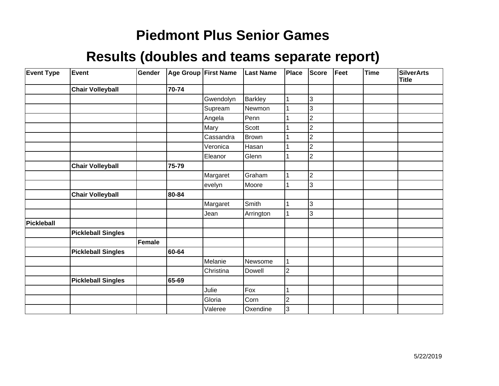| <b>Event Type</b> | Event                     | Gender        |       | Age Group First Name | <b>Last Name</b> | <b>Place</b> | <b>Score</b>   | Feet | <b>Time</b> | <b>SilverArts</b><br><b>Title</b> |
|-------------------|---------------------------|---------------|-------|----------------------|------------------|--------------|----------------|------|-------------|-----------------------------------|
|                   | <b>Chair Volleyball</b>   |               | 70-74 |                      |                  |              |                |      |             |                                   |
|                   |                           |               |       | Gwendolyn            | <b>Barkley</b>   |              | 3              |      |             |                                   |
|                   |                           |               |       | Supream              | Newmon           |              | 3              |      |             |                                   |
|                   |                           |               |       | Angela               | Penn             |              | $\overline{2}$ |      |             |                                   |
|                   |                           |               |       | Mary                 | Scott            |              | $\overline{2}$ |      |             |                                   |
|                   |                           |               |       | Cassandra            | Brown            |              | $\overline{2}$ |      |             |                                   |
|                   |                           |               |       | Veronica             | Hasan            |              | $\overline{2}$ |      |             |                                   |
|                   |                           |               |       | Eleanor              | Glenn            |              | $\overline{2}$ |      |             |                                   |
|                   | <b>Chair Volleyball</b>   |               | 75-79 |                      |                  |              |                |      |             |                                   |
|                   |                           |               |       | Margaret             | Graham           |              | $\overline{2}$ |      |             |                                   |
|                   |                           |               |       | evelyn               | Moore            |              | 3              |      |             |                                   |
|                   | <b>Chair Volleyball</b>   |               | 80-84 |                      |                  |              |                |      |             |                                   |
|                   |                           |               |       | Margaret             | Smith            |              | 3              |      |             |                                   |
|                   |                           |               |       | Jean                 | Arrington        |              | 3              |      |             |                                   |
| Pickleball        |                           |               |       |                      |                  |              |                |      |             |                                   |
|                   | <b>Pickleball Singles</b> |               |       |                      |                  |              |                |      |             |                                   |
|                   |                           | <b>Female</b> |       |                      |                  |              |                |      |             |                                   |
|                   | <b>Pickleball Singles</b> |               | 60-64 |                      |                  |              |                |      |             |                                   |
|                   |                           |               |       | Melanie              | Newsome          |              |                |      |             |                                   |
|                   |                           |               |       | Christina            | Dowell           | 2            |                |      |             |                                   |
|                   | <b>Pickleball Singles</b> |               | 65-69 |                      |                  |              |                |      |             |                                   |
|                   |                           |               |       | Julie                | Fox              |              |                |      |             |                                   |
|                   |                           |               |       | Gloria               | Corn             | 2            |                |      |             |                                   |
|                   |                           |               |       | Valeree              | Oxendine         | 3            |                |      |             |                                   |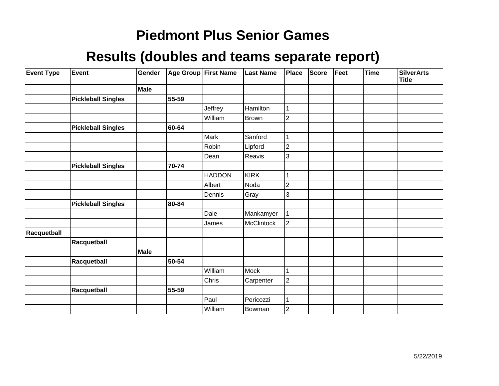| <b>Event Type</b> | <b>Event</b>              | Gender |       | Age Group First Name | <b>Last Name</b> | Place          | <b>Score</b> | Feet | <b>Time</b> | <b>SilverArts</b><br><b>Title</b> |
|-------------------|---------------------------|--------|-------|----------------------|------------------|----------------|--------------|------|-------------|-----------------------------------|
|                   |                           | Male   |       |                      |                  |                |              |      |             |                                   |
|                   | <b>Pickleball Singles</b> |        | 55-59 |                      |                  |                |              |      |             |                                   |
|                   |                           |        |       | Jeffrey              | <b>Hamilton</b>  |                |              |      |             |                                   |
|                   |                           |        |       | William              | <b>Brown</b>     | $\overline{2}$ |              |      |             |                                   |
|                   | <b>Pickleball Singles</b> |        | 60-64 |                      |                  |                |              |      |             |                                   |
|                   |                           |        |       | Mark                 | Sanford          |                |              |      |             |                                   |
|                   |                           |        |       | Robin                | Lipford          | $\overline{c}$ |              |      |             |                                   |
|                   |                           |        |       | Dean                 | Reavis           | 3              |              |      |             |                                   |
|                   | <b>Pickleball Singles</b> |        | 70-74 |                      |                  |                |              |      |             |                                   |
|                   |                           |        |       | <b>HADDON</b>        | KIRK             |                |              |      |             |                                   |
|                   |                           |        |       | Albert               | Noda             | 2              |              |      |             |                                   |
|                   |                           |        |       | Dennis               | Gray             | 3              |              |      |             |                                   |
|                   | <b>Pickleball Singles</b> |        | 80-84 |                      |                  |                |              |      |             |                                   |
|                   |                           |        |       | Dale                 | Mankamyer        | 1              |              |      |             |                                   |
|                   |                           |        |       | James                | McClintock       | $\overline{2}$ |              |      |             |                                   |
| Racquetball       |                           |        |       |                      |                  |                |              |      |             |                                   |
|                   | Racquetball               |        |       |                      |                  |                |              |      |             |                                   |
|                   |                           | Male   |       |                      |                  |                |              |      |             |                                   |
|                   | Racquetball               |        | 50-54 |                      |                  |                |              |      |             |                                   |
|                   |                           |        |       | William              | Mock             |                |              |      |             |                                   |
|                   |                           |        |       | Chris                | Carpenter        | $\overline{2}$ |              |      |             |                                   |
|                   | Racquetball               |        | 55-59 |                      |                  |                |              |      |             |                                   |
|                   |                           |        |       | Paul                 | Pericozzi        |                |              |      |             |                                   |
|                   |                           |        |       | William              | Bowman           | 2              |              |      |             |                                   |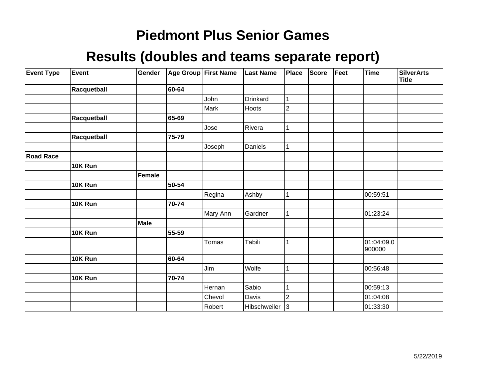| <b>Event Type</b> | Event       | Gender      |       | <b>Age Group First Name</b> | <b>Last Name</b> | Place          | Score | Feet | Time                 | <b>SilverArts</b><br><b>Title</b> |
|-------------------|-------------|-------------|-------|-----------------------------|------------------|----------------|-------|------|----------------------|-----------------------------------|
|                   | Racquetball |             | 60-64 |                             |                  |                |       |      |                      |                                   |
|                   |             |             |       | John                        | Drinkard         |                |       |      |                      |                                   |
|                   |             |             |       | Mark                        | Hoots            | $\overline{2}$ |       |      |                      |                                   |
|                   | Racquetball |             | 65-69 |                             |                  |                |       |      |                      |                                   |
|                   |             |             |       | Jose                        | Rivera           | 1              |       |      |                      |                                   |
|                   | Racquetball |             | 75-79 |                             |                  |                |       |      |                      |                                   |
|                   |             |             |       | Joseph                      | Daniels          | 1              |       |      |                      |                                   |
| <b>Road Race</b>  |             |             |       |                             |                  |                |       |      |                      |                                   |
|                   | 10K Run     |             |       |                             |                  |                |       |      |                      |                                   |
|                   |             | Female      |       |                             |                  |                |       |      |                      |                                   |
|                   | 10K Run     |             | 50-54 |                             |                  |                |       |      |                      |                                   |
|                   |             |             |       | Regina                      | Ashby            | 1              |       |      | 00:59:51             |                                   |
|                   | 10K Run     |             | 70-74 |                             |                  |                |       |      |                      |                                   |
|                   |             |             |       | Mary Ann                    | Gardner          | 1              |       |      | 01:23:24             |                                   |
|                   |             | <b>Male</b> |       |                             |                  |                |       |      |                      |                                   |
|                   | 10K Run     |             | 55-59 |                             |                  |                |       |      |                      |                                   |
|                   |             |             |       | Tomas                       | Tabili           | 1              |       |      | 01:04:09.0<br>900000 |                                   |
|                   | 10K Run     |             | 60-64 |                             |                  |                |       |      |                      |                                   |
|                   |             |             |       | Jim                         | Wolfe            | 1              |       |      | 00:56:48             |                                   |
|                   | 10K Run     |             | 70-74 |                             |                  |                |       |      |                      |                                   |
|                   |             |             |       | Hernan                      | Sabio            |                |       |      | 00:59:13             |                                   |
|                   |             |             |       | Chevol                      | Davis            | $\overline{2}$ |       |      | 01:04:08             |                                   |
|                   |             |             |       | Robert                      | Hibschweiler     | 3              |       |      | 01:33:30             |                                   |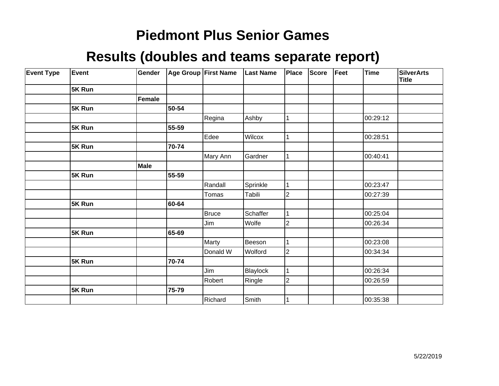| <b>Event Type</b> | Event  | Gender      |       | <b>Age Group First Name</b> | <b>Last Name</b> | Place          | Score | Feet | Time     | <b>SilverArts</b><br><b>Title</b> |
|-------------------|--------|-------------|-------|-----------------------------|------------------|----------------|-------|------|----------|-----------------------------------|
|                   | 5K Run |             |       |                             |                  |                |       |      |          |                                   |
|                   |        | Female      |       |                             |                  |                |       |      |          |                                   |
|                   | 5K Run |             | 50-54 |                             |                  |                |       |      |          |                                   |
|                   |        |             |       | Regina                      | Ashby            | 1              |       |      | 00:29:12 |                                   |
|                   | 5K Run |             | 55-59 |                             |                  |                |       |      |          |                                   |
|                   |        |             |       | Edee                        | Wilcox           | 1              |       |      | 00:28:51 |                                   |
|                   | 5K Run |             | 70-74 |                             |                  |                |       |      |          |                                   |
|                   |        |             |       | Mary Ann                    | Gardner          |                |       |      | 00:40:41 |                                   |
|                   |        | <b>Male</b> |       |                             |                  |                |       |      |          |                                   |
|                   | 5K Run |             | 55-59 |                             |                  |                |       |      |          |                                   |
|                   |        |             |       | Randall                     | Sprinkle         | 1              |       |      | 00:23:47 |                                   |
|                   |        |             |       | Tomas                       | Tabili           | $\overline{c}$ |       |      | 00:27:39 |                                   |
|                   | 5K Run |             | 60-64 |                             |                  |                |       |      |          |                                   |
|                   |        |             |       | Bruce                       | Schaffer         | 1              |       |      | 00:25:04 |                                   |
|                   |        |             |       | Jim                         | Wolfe            | $\overline{2}$ |       |      | 00:26:34 |                                   |
|                   | 5K Run |             | 65-69 |                             |                  |                |       |      |          |                                   |
|                   |        |             |       | Marty                       | Beeson           | 1              |       |      | 00:23:08 |                                   |
|                   |        |             |       | Donald W                    | Wolford          | $\overline{2}$ |       |      | 00:34:34 |                                   |
|                   | 5K Run |             | 70-74 |                             |                  |                |       |      |          |                                   |
|                   |        |             |       | Jim                         | Blaylock         | $\mathbf 1$    |       |      | 00:26:34 |                                   |
|                   |        |             |       | Robert                      | Ringle           | $\overline{2}$ |       |      | 00:26:59 |                                   |
|                   | 5K Run |             | 75-79 |                             |                  |                |       |      |          |                                   |
|                   |        |             |       | Richard                     | Smith            |                |       |      | 00:35:38 |                                   |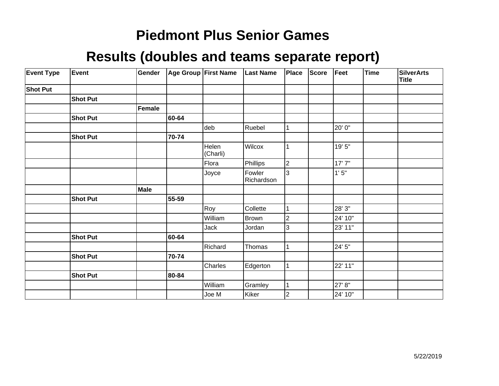| <b>Event Type</b> | Event           | Gender |       | Age Group First Name | <b>Last Name</b>     | Place          | Score | Feet    | Time | <b>SilverArts</b><br>Title |
|-------------------|-----------------|--------|-------|----------------------|----------------------|----------------|-------|---------|------|----------------------------|
| <b>Shot Put</b>   |                 |        |       |                      |                      |                |       |         |      |                            |
|                   | <b>Shot Put</b> |        |       |                      |                      |                |       |         |      |                            |
|                   |                 | Female |       |                      |                      |                |       |         |      |                            |
|                   | <b>Shot Put</b> |        | 60-64 |                      |                      |                |       |         |      |                            |
|                   |                 |        |       | deb                  | Ruebel               |                |       | 20' 0"  |      |                            |
|                   | <b>Shot Put</b> |        | 70-74 |                      |                      |                |       |         |      |                            |
|                   |                 |        |       | Helen<br>(Charli)    | Wilcox               |                |       | 19' 5"  |      |                            |
|                   |                 |        |       | Flora                | Phillips             | $\mathbf 2$    |       | 17'7''  |      |                            |
|                   |                 |        |       | Joyce                | Fowler<br>Richardson | 3              |       | 1'5''   |      |                            |
|                   |                 | Male   |       |                      |                      |                |       |         |      |                            |
|                   | <b>Shot Put</b> |        | 55-59 |                      |                      |                |       |         |      |                            |
|                   |                 |        |       | Roy                  | Collette             |                |       | 28' 3"  |      |                            |
|                   |                 |        |       | William              | Brown                | 2              |       | 24' 10" |      |                            |
|                   |                 |        |       | Jack                 | Jordan               | 3              |       | 23' 11" |      |                            |
|                   | <b>Shot Put</b> |        | 60-64 |                      |                      |                |       |         |      |                            |
|                   |                 |        |       | Richard              | Thomas               |                |       | 24' 5"  |      |                            |
|                   | <b>Shot Put</b> |        | 70-74 |                      |                      |                |       |         |      |                            |
|                   |                 |        |       | Charles              | Edgerton             |                |       | 22' 11" |      |                            |
|                   | <b>Shot Put</b> |        | 80-84 |                      |                      |                |       |         |      |                            |
|                   |                 |        |       | William              | Gramley              |                |       | 27' 8"  |      |                            |
|                   |                 |        |       | Joe M                | Kiker                | $\overline{2}$ |       | 24' 10" |      |                            |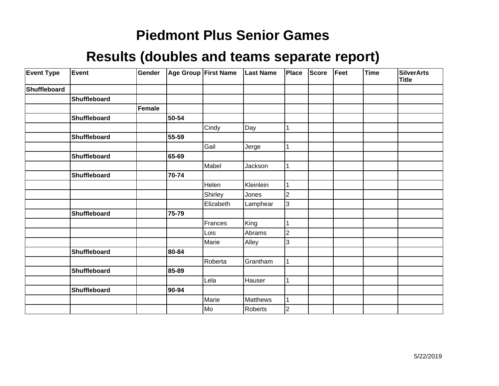| <b>Event Type</b>   | Event        | Gender |       | Age Group First Name | <b>Last Name</b> | Place          | Score | Feet | <b>Time</b> | <b>SilverArts</b><br><b>Title</b> |
|---------------------|--------------|--------|-------|----------------------|------------------|----------------|-------|------|-------------|-----------------------------------|
| <b>Shuffleboard</b> |              |        |       |                      |                  |                |       |      |             |                                   |
|                     | Shuffleboard |        |       |                      |                  |                |       |      |             |                                   |
|                     |              | Female |       |                      |                  |                |       |      |             |                                   |
|                     | Shuffleboard |        | 50-54 |                      |                  |                |       |      |             |                                   |
|                     |              |        |       | Cindy                | Day              |                |       |      |             |                                   |
|                     | Shuffleboard |        | 55-59 |                      |                  |                |       |      |             |                                   |
|                     |              |        |       | Gail                 | Jerge            |                |       |      |             |                                   |
|                     | Shuffleboard |        | 65-69 |                      |                  |                |       |      |             |                                   |
|                     |              |        |       | Mabel                | Jackson          |                |       |      |             |                                   |
|                     | Shuffleboard |        | 70-74 |                      |                  |                |       |      |             |                                   |
|                     |              |        |       | Helen                | Kleinlein        |                |       |      |             |                                   |
|                     |              |        |       | Shirley              | Jones            | 2              |       |      |             |                                   |
|                     |              |        |       | Elizabeth            | Lamphear         | 3              |       |      |             |                                   |
|                     | Shuffleboard |        | 75-79 |                      |                  |                |       |      |             |                                   |
|                     |              |        |       | Frances              | King             |                |       |      |             |                                   |
|                     |              |        |       | Lois                 | Abrams           | $\overline{2}$ |       |      |             |                                   |
|                     |              |        |       | Marie                | Alley            | 3              |       |      |             |                                   |
|                     | Shuffleboard |        | 80-84 |                      |                  |                |       |      |             |                                   |
|                     |              |        |       | Roberta              | Grantham         |                |       |      |             |                                   |
|                     | Shuffleboard |        | 85-89 |                      |                  |                |       |      |             |                                   |
|                     |              |        |       | Lela                 | Hauser           |                |       |      |             |                                   |
|                     | Shuffleboard |        | 90-94 |                      |                  |                |       |      |             |                                   |
|                     |              |        |       | Marie                | Matthews         |                |       |      |             |                                   |
|                     |              |        |       | Mo                   | Roberts          | $\overline{2}$ |       |      |             |                                   |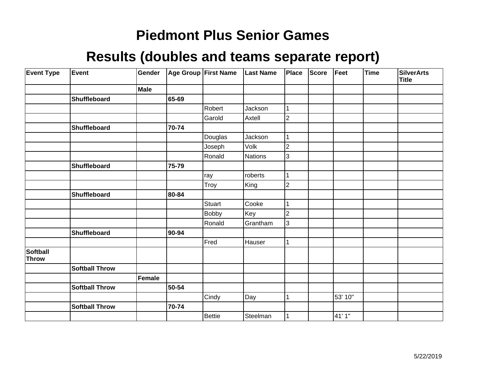| <b>Event Type</b>               | Event                 | Gender |       | <b>Age Group First Name</b> | <b>Last Name</b> | Place          | <b>Score</b> | Feet    | Time | <b>SilverArts</b><br><b>Title</b> |
|---------------------------------|-----------------------|--------|-------|-----------------------------|------------------|----------------|--------------|---------|------|-----------------------------------|
|                                 |                       | Male   |       |                             |                  |                |              |         |      |                                   |
|                                 | Shuffleboard          |        | 65-69 |                             |                  |                |              |         |      |                                   |
|                                 |                       |        |       | Robert                      | Jackson          | 1              |              |         |      |                                   |
|                                 |                       |        |       | Garold                      | Axtell           | $\overline{c}$ |              |         |      |                                   |
|                                 | Shuffleboard          |        | 70-74 |                             |                  |                |              |         |      |                                   |
|                                 |                       |        |       | Douglas                     | Jackson          | 1              |              |         |      |                                   |
|                                 |                       |        |       | Joseph                      | Volk             | $\overline{2}$ |              |         |      |                                   |
|                                 |                       |        |       | Ronald                      | <b>Nations</b>   | 3              |              |         |      |                                   |
|                                 | Shuffleboard          |        | 75-79 |                             |                  |                |              |         |      |                                   |
|                                 |                       |        |       | ray                         | roberts          |                |              |         |      |                                   |
|                                 |                       |        |       | Troy                        | King             | $\overline{c}$ |              |         |      |                                   |
|                                 | Shuffleboard          |        | 80-84 |                             |                  |                |              |         |      |                                   |
|                                 |                       |        |       | Stuart                      | Cooke            | 1              |              |         |      |                                   |
|                                 |                       |        |       | <b>Bobby</b>                | Key              | $\overline{2}$ |              |         |      |                                   |
|                                 |                       |        |       | Ronald                      | Grantham         | 3              |              |         |      |                                   |
|                                 | Shuffleboard          |        | 90-94 |                             |                  |                |              |         |      |                                   |
|                                 |                       |        |       | Fred                        | Hauser           | 1              |              |         |      |                                   |
| <b>Softball</b><br><b>Throw</b> |                       |        |       |                             |                  |                |              |         |      |                                   |
|                                 | <b>Softball Throw</b> |        |       |                             |                  |                |              |         |      |                                   |
|                                 |                       | Female |       |                             |                  |                |              |         |      |                                   |
|                                 | <b>Softball Throw</b> |        | 50-54 |                             |                  |                |              |         |      |                                   |
|                                 |                       |        |       | Cindy                       | Day              | 1              |              | 53' 10" |      |                                   |
|                                 | <b>Softball Throw</b> |        | 70-74 |                             |                  |                |              |         |      |                                   |
|                                 |                       |        |       | <b>Bettie</b>               | Steelman         |                |              | 41' 1"  |      |                                   |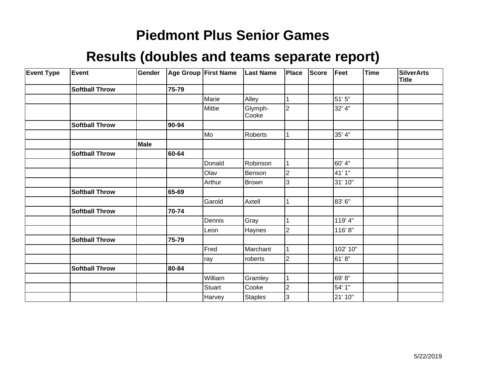| <b>Event Type</b> | Event                 | Gender      |       | Age Group First Name | <b>Last Name</b> | Place                   | <b>Score</b> | Feet     | Time | <b>SilverArts</b><br>Title |
|-------------------|-----------------------|-------------|-------|----------------------|------------------|-------------------------|--------------|----------|------|----------------------------|
|                   | <b>Softball Throw</b> |             | 75-79 |                      |                  |                         |              |          |      |                            |
|                   |                       |             |       | Marie                | Alley            |                         |              | 51' 5"   |      |                            |
|                   |                       |             |       | Mittie               | Glymph-<br>Cooke | $\overline{2}$          |              | 32' 4"   |      |                            |
|                   | <b>Softball Throw</b> |             | 90-94 |                      |                  |                         |              |          |      |                            |
|                   |                       |             |       | Mo]                  | Roberts          |                         |              | 35' 4"   |      |                            |
|                   |                       | <b>Male</b> |       |                      |                  |                         |              |          |      |                            |
|                   | <b>Softball Throw</b> |             | 60-64 |                      |                  |                         |              |          |      |                            |
|                   |                       |             |       | Donald               | Robinson         |                         |              | 60' 4"   |      |                            |
|                   |                       |             |       | Olav                 | Benson           | 2                       |              | 41' 1"   |      |                            |
|                   |                       |             |       | Arthur               | Brown            | 3                       |              | 31' 10"  |      |                            |
|                   | <b>Softball Throw</b> |             | 65-69 |                      |                  |                         |              |          |      |                            |
|                   |                       |             |       | Garold               | Axtell           |                         |              | 83'6"    |      |                            |
|                   | <b>Softball Throw</b> |             | 70-74 |                      |                  |                         |              |          |      |                            |
|                   |                       |             |       | Dennis               | Gray             |                         |              | 119' 4"  |      |                            |
|                   |                       |             |       | Leon                 | Haynes           | 2                       |              | 116'8"   |      |                            |
|                   | <b>Softball Throw</b> |             | 75-79 |                      |                  |                         |              |          |      |                            |
|                   |                       |             |       | Fred                 | Marchant         |                         |              | 102' 10" |      |                            |
|                   |                       |             |       | ray                  | roberts          | $\overline{2}$          |              | 61'8"    |      |                            |
|                   | <b>Softball Throw</b> |             | 80-84 |                      |                  |                         |              |          |      |                            |
|                   |                       |             |       | William              | Gramley          |                         |              | 69' 8"   |      |                            |
|                   |                       |             |       | Stuart               | Cooke            | $\overline{\mathbf{c}}$ |              | 54' 1"   |      |                            |
|                   |                       |             |       | Harvey               | Staples          | 3                       |              | 21' 10"  |      |                            |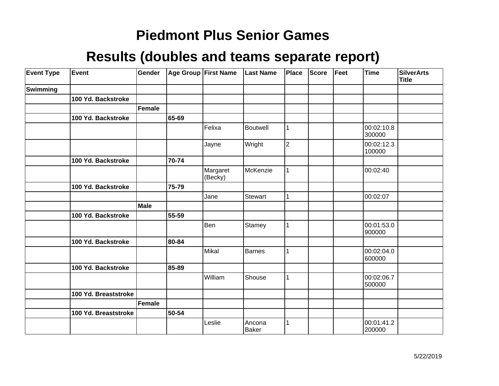| <b>Event Type</b> | Event                | Gender |       | Age Group First Name | <b>Last Name</b> | Place          | Score | Feet | <b>Time</b>          | <b>SilverArts</b><br><b>Title</b> |
|-------------------|----------------------|--------|-------|----------------------|------------------|----------------|-------|------|----------------------|-----------------------------------|
| Swimming          |                      |        |       |                      |                  |                |       |      |                      |                                   |
|                   | 100 Yd. Backstroke   |        |       |                      |                  |                |       |      |                      |                                   |
|                   |                      | Female |       |                      |                  |                |       |      |                      |                                   |
|                   | 100 Yd. Backstroke   |        | 65-69 |                      |                  |                |       |      |                      |                                   |
|                   |                      |        |       | Felixa               | Boutwell         | 1              |       |      | 00:02:10.8<br>300000 |                                   |
|                   |                      |        |       | Jayne                | Wright           | $\overline{2}$ |       |      | 00:02:12.3<br>100000 |                                   |
|                   | 100 Yd. Backstroke   |        | 70-74 |                      |                  |                |       |      |                      |                                   |
|                   |                      |        |       | Margaret<br>(Becky)  | McKenzie         | 1              |       |      | 00:02:40             |                                   |
|                   | 100 Yd. Backstroke   |        | 75-79 |                      |                  |                |       |      |                      |                                   |
|                   |                      |        |       | Jane                 | <b>Stewart</b>   | 1              |       |      | 00:02:07             |                                   |
|                   |                      | Male   |       |                      |                  |                |       |      |                      |                                   |
|                   | 100 Yd. Backstroke   |        | 55-59 |                      |                  |                |       |      |                      |                                   |
|                   |                      |        |       | Ben                  | Stamey           | 1              |       |      | 00:01:53.0<br>900000 |                                   |
|                   | 100 Yd. Backstroke   |        | 80-84 |                      |                  |                |       |      |                      |                                   |
|                   |                      |        |       | Mikal                | <b>Barnes</b>    | 1              |       |      | 00:02:04.0<br>600000 |                                   |
|                   | 100 Yd. Backstroke   |        | 85-89 |                      |                  |                |       |      |                      |                                   |
|                   |                      |        |       | William              | Shouse           | 1              |       |      | 00:02:06.7<br>500000 |                                   |
|                   | 100 Yd. Breaststroke |        |       |                      |                  |                |       |      |                      |                                   |
|                   |                      | Female |       |                      |                  |                |       |      |                      |                                   |
|                   | 100 Yd. Breaststroke |        | 50-54 |                      |                  |                |       |      |                      |                                   |
|                   |                      |        |       | Leslie               | Ancona<br>Baker  | 1              |       |      | 00:01:41.2<br>200000 |                                   |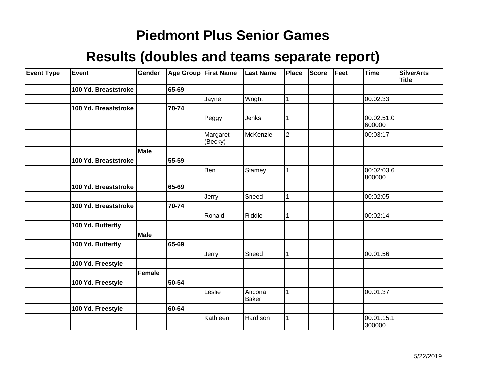| <b>Event Type</b> | Event                | Gender      |           | Age Group First Name | <b>Last Name</b> | Place          | <b>Score</b> | Feet | <b>Time</b>          | <b>SilverArts</b><br><b>Title</b> |
|-------------------|----------------------|-------------|-----------|----------------------|------------------|----------------|--------------|------|----------------------|-----------------------------------|
|                   | 100 Yd. Breaststroke |             | 65-69     |                      |                  |                |              |      |                      |                                   |
|                   |                      |             |           | Jayne                | Wright           | 1              |              |      | 00:02:33             |                                   |
|                   | 100 Yd. Breaststroke |             | 70-74     |                      |                  |                |              |      |                      |                                   |
|                   |                      |             |           | Peggy                | Jenks            |                |              |      | 00:02:51.0<br>600000 |                                   |
|                   |                      |             |           | Margaret<br>(Becky)  | McKenzie         | $\overline{2}$ |              |      | 00:03:17             |                                   |
|                   |                      | <b>Male</b> |           |                      |                  |                |              |      |                      |                                   |
|                   | 100 Yd. Breaststroke |             | $55 - 59$ |                      |                  |                |              |      |                      |                                   |
|                   |                      |             |           | Ben                  | Stamey           | 1              |              |      | 00:02:03.6<br>800000 |                                   |
|                   | 100 Yd. Breaststroke |             | 65-69     |                      |                  |                |              |      |                      |                                   |
|                   |                      |             |           | Jerry                | Sneed            | 1              |              |      | 00:02:05             |                                   |
|                   | 100 Yd. Breaststroke |             | 70-74     |                      |                  |                |              |      |                      |                                   |
|                   |                      |             |           | Ronald               | Riddle           | 1              |              |      | 00:02:14             |                                   |
|                   | 100 Yd. Butterfly    |             |           |                      |                  |                |              |      |                      |                                   |
|                   |                      | <b>Male</b> |           |                      |                  |                |              |      |                      |                                   |
|                   | 100 Yd. Butterfly    |             | 65-69     |                      |                  |                |              |      |                      |                                   |
|                   |                      |             |           | Jerry                | Sneed            | 1              |              |      | 00:01:56             |                                   |
|                   | 100 Yd. Freestyle    |             |           |                      |                  |                |              |      |                      |                                   |
|                   |                      | Female      |           |                      |                  |                |              |      |                      |                                   |
|                   | 100 Yd. Freestyle    |             | 50-54     |                      |                  |                |              |      |                      |                                   |
|                   |                      |             |           | Leslie               | Ancona<br>Baker  | 1              |              |      | 00:01:37             |                                   |
|                   | 100 Yd. Freestyle    |             | 60-64     |                      |                  |                |              |      |                      |                                   |
|                   |                      |             |           | Kathleen             | Hardison         | 1              |              |      | 00:01:15.1<br>300000 |                                   |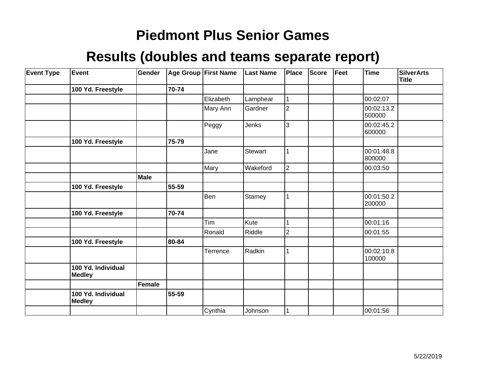| <b>Event Type</b> | Event                               | Gender        |           | Age Group First Name | <b>Last Name</b> | Place          | <b>Score</b> | Feet | <b>Time</b>          | <b>SilverArts</b><br><b>Title</b> |
|-------------------|-------------------------------------|---------------|-----------|----------------------|------------------|----------------|--------------|------|----------------------|-----------------------------------|
|                   | 100 Yd. Freestyle                   |               | 70-74     |                      |                  |                |              |      |                      |                                   |
|                   |                                     |               |           | Elizabeth            | Lamphear         |                |              |      | 00:02:07             |                                   |
|                   |                                     |               |           | Mary Ann             | Gardner          | $\overline{2}$ |              |      | 00:02:13.2<br>500000 |                                   |
|                   |                                     |               |           | Peggy                | Jenks            | 3              |              |      | 00:02:45.2<br>600000 |                                   |
|                   | 100 Yd. Freestyle                   |               | 75-79     |                      |                  |                |              |      |                      |                                   |
|                   |                                     |               |           | Jane                 | <b>Stewart</b>   |                |              |      | 00:01:48.8<br>800000 |                                   |
|                   |                                     |               |           | Mary                 | Wakeford         | $\overline{2}$ |              |      | 00:03:50             |                                   |
|                   |                                     | Male          |           |                      |                  |                |              |      |                      |                                   |
|                   | 100 Yd. Freestyle                   |               | 55-59     |                      |                  |                |              |      |                      |                                   |
|                   |                                     |               |           | Ben                  | Stamey           | 1              |              |      | 00:01:50.2<br>200000 |                                   |
|                   | 100 Yd. Freestyle                   |               | 70-74     |                      |                  |                |              |      |                      |                                   |
|                   |                                     |               |           | Tim                  | Kute             |                |              |      | 00:01:16             |                                   |
|                   |                                     |               |           | Ronald               | Riddle           | 2              |              |      | 00:01:55             |                                   |
|                   | 100 Yd. Freestyle                   |               | 80-84     |                      |                  |                |              |      |                      |                                   |
|                   |                                     |               |           | Terrence             | Radkin           | 1              |              |      | 00:02:10.8<br>100000 |                                   |
|                   | 100 Yd. Individual<br><b>Medley</b> |               |           |                      |                  |                |              |      |                      |                                   |
|                   |                                     | <b>Female</b> |           |                      |                  |                |              |      |                      |                                   |
|                   | 100 Yd. Individual<br><b>Medley</b> |               | $55 - 59$ |                      |                  |                |              |      |                      |                                   |
|                   |                                     |               |           | Cynthia              | Johnson          | 1              |              |      | 00:01:56             |                                   |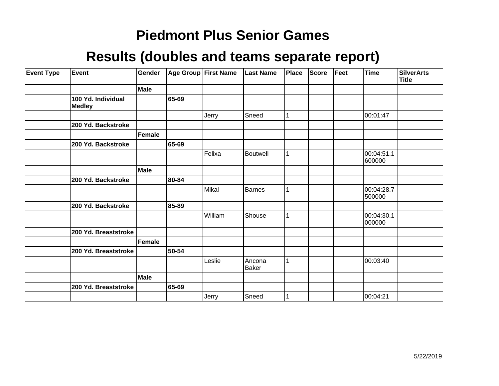| <b>Event Type</b> | Event                               | Gender        |       | Age Group First Name | <b>Last Name</b> | Place | <b>Score</b> | Feet | <b>Time</b>          | <b>SilverArts</b><br>Title |
|-------------------|-------------------------------------|---------------|-------|----------------------|------------------|-------|--------------|------|----------------------|----------------------------|
|                   |                                     | <b>Male</b>   |       |                      |                  |       |              |      |                      |                            |
|                   | 100 Yd. Individual<br><b>Medley</b> |               | 65-69 |                      |                  |       |              |      |                      |                            |
|                   |                                     |               |       | Jerry                | Sneed            | 1     |              |      | 00:01:47             |                            |
|                   | 200 Yd. Backstroke                  |               |       |                      |                  |       |              |      |                      |                            |
|                   |                                     | <b>Female</b> |       |                      |                  |       |              |      |                      |                            |
|                   | 200 Yd. Backstroke                  |               | 65-69 |                      |                  |       |              |      |                      |                            |
|                   |                                     |               |       | Felixa               | <b>Boutwell</b>  |       |              |      | 00:04:51.1<br>600000 |                            |
|                   |                                     | Male          |       |                      |                  |       |              |      |                      |                            |
|                   | 200 Yd. Backstroke                  |               | 80-84 |                      |                  |       |              |      |                      |                            |
|                   |                                     |               |       | Mikal                | Barnes           |       |              |      | 00:04:28.7<br>500000 |                            |
|                   | 200 Yd. Backstroke                  |               | 85-89 |                      |                  |       |              |      |                      |                            |
|                   |                                     |               |       | William              | Shouse           |       |              |      | 00:04:30.1<br>000000 |                            |
|                   | 200 Yd. Breaststroke                |               |       |                      |                  |       |              |      |                      |                            |
|                   |                                     | Female        |       |                      |                  |       |              |      |                      |                            |
|                   | 200 Yd. Breaststroke                |               | 50-54 |                      |                  |       |              |      |                      |                            |
|                   |                                     |               |       | Leslie               | Ancona<br>Baker  | 1     |              |      | 00:03:40             |                            |
|                   |                                     | Male          |       |                      |                  |       |              |      |                      |                            |
|                   | 200 Yd. Breaststroke                |               | 65-69 |                      |                  |       |              |      |                      |                            |
|                   |                                     |               |       | Jerry                | Sneed            |       |              |      | 00:04:21             |                            |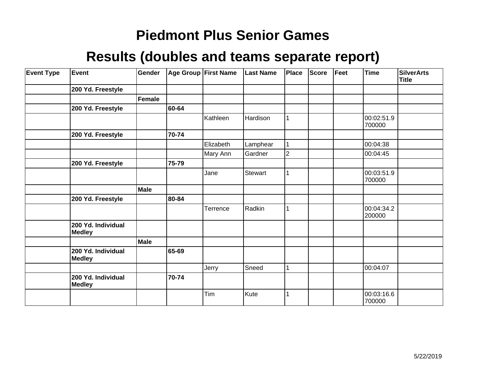| <b>Event Type</b> | Event                               | Gender |       | Age Group   First Name | <b>Last Name</b> | Place          | <b>Score</b> | Feet | Time                 | SilverArts<br><b>Title</b> |
|-------------------|-------------------------------------|--------|-------|------------------------|------------------|----------------|--------------|------|----------------------|----------------------------|
|                   | 200 Yd. Freestyle                   |        |       |                        |                  |                |              |      |                      |                            |
|                   |                                     | Female |       |                        |                  |                |              |      |                      |                            |
|                   | 200 Yd. Freestyle                   |        | 60-64 |                        |                  |                |              |      |                      |                            |
|                   |                                     |        |       | Kathleen               | Hardison         |                |              |      | 00:02:51.9<br>700000 |                            |
|                   | 200 Yd. Freestyle                   |        | 70-74 |                        |                  |                |              |      |                      |                            |
|                   |                                     |        |       | Elizabeth              | Lamphear         |                |              |      | 00:04:38             |                            |
|                   |                                     |        |       | Mary Ann               | Gardner          | $\overline{2}$ |              |      | 00:04:45             |                            |
|                   | 200 Yd. Freestyle                   |        | 75-79 |                        |                  |                |              |      |                      |                            |
|                   |                                     |        |       | Jane                   | Stewart          |                |              |      | 00:03:51.9<br>700000 |                            |
|                   |                                     | Male   |       |                        |                  |                |              |      |                      |                            |
|                   | 200 Yd. Freestyle                   |        | 80-84 |                        |                  |                |              |      |                      |                            |
|                   |                                     |        |       | Terrence               | Radkin           |                |              |      | 00:04:34.2<br>200000 |                            |
|                   | 200 Yd. Individual<br><b>Medley</b> |        |       |                        |                  |                |              |      |                      |                            |
|                   |                                     | Male   |       |                        |                  |                |              |      |                      |                            |
|                   | 200 Yd. Individual<br><b>Medley</b> |        | 65-69 |                        |                  |                |              |      |                      |                            |
|                   |                                     |        |       | Jerry                  | Sneed            |                |              |      | 00:04:07             |                            |
|                   | 200 Yd. Individual<br><b>Medley</b> |        | 70-74 |                        |                  |                |              |      |                      |                            |
|                   |                                     |        |       | Tim                    | Kute             |                |              |      | 00:03:16.6<br>700000 |                            |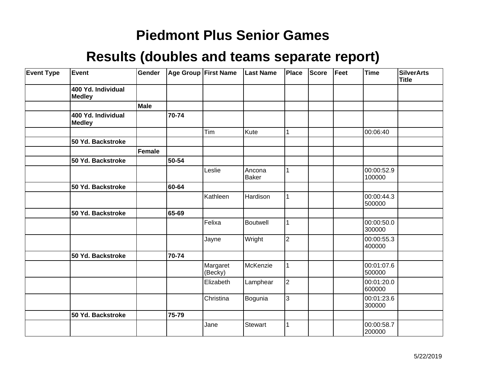| <b>Event Type</b> | Event                               | Gender        |       | Age Group First Name | <b>Last Name</b> | Place          | <b>Score</b> | Feet | <b>Time</b>          | <b>SilverArts</b><br>Title |
|-------------------|-------------------------------------|---------------|-------|----------------------|------------------|----------------|--------------|------|----------------------|----------------------------|
|                   | 400 Yd. Individual<br><b>Medley</b> |               |       |                      |                  |                |              |      |                      |                            |
|                   |                                     | <b>Male</b>   |       |                      |                  |                |              |      |                      |                            |
|                   | 400 Yd. Individual<br><b>Medley</b> |               | 70-74 |                      |                  |                |              |      |                      |                            |
|                   |                                     |               |       | Tim                  | Kute             | 1              |              |      | 00:06:40             |                            |
|                   | 50 Yd. Backstroke                   |               |       |                      |                  |                |              |      |                      |                            |
|                   |                                     | <b>Female</b> |       |                      |                  |                |              |      |                      |                            |
|                   | 50 Yd. Backstroke                   |               | 50-54 |                      |                  |                |              |      |                      |                            |
|                   |                                     |               |       | Leslie               | Ancona<br>Baker  | 1              |              |      | 00:00:52.9<br>100000 |                            |
|                   | 50 Yd. Backstroke                   |               | 60-64 |                      |                  |                |              |      |                      |                            |
|                   |                                     |               |       | Kathleen             | Hardison         | 1              |              |      | 00:00:44.3<br>500000 |                            |
|                   | 50 Yd. Backstroke                   |               | 65-69 |                      |                  |                |              |      |                      |                            |
|                   |                                     |               |       | Felixa               | Boutwell         | 1              |              |      | 00:00:50.0<br>300000 |                            |
|                   |                                     |               |       | Jayne                | Wright           | $\overline{2}$ |              |      | 00:00:55.3<br>400000 |                            |
|                   | 50 Yd. Backstroke                   |               | 70-74 |                      |                  |                |              |      |                      |                            |
|                   |                                     |               |       | Margaret<br>(Becky)  | McKenzie         | 1              |              |      | 00:01:07.6<br>500000 |                            |
|                   |                                     |               |       | Elizabeth            | Lamphear         | $\overline{2}$ |              |      | 00:01:20.0<br>600000 |                            |
|                   |                                     |               |       | Christina            | Bogunia          | 3              |              |      | 00:01:23.6<br>300000 |                            |
|                   | 50 Yd. Backstroke                   |               | 75-79 |                      |                  |                |              |      |                      |                            |
|                   |                                     |               |       | Jane                 | Stewart          | 1              |              |      | 00:00:58.7<br>200000 |                            |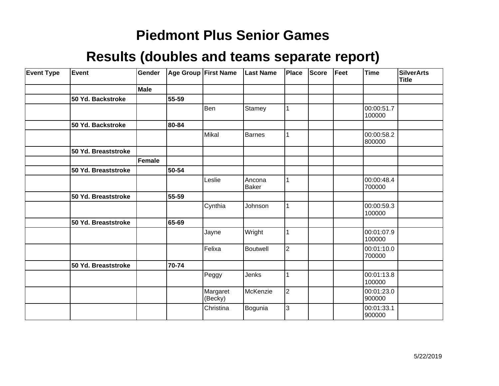| <b>Event Type</b> | Event               | Gender |       | Age Group First Name | <b>Last Name</b>       | Place          | <b>Score</b> | Feet | <b>Time</b>          | <b>SilverArts</b><br><b>Title</b> |
|-------------------|---------------------|--------|-------|----------------------|------------------------|----------------|--------------|------|----------------------|-----------------------------------|
|                   |                     | Male   |       |                      |                        |                |              |      |                      |                                   |
|                   | 50 Yd. Backstroke   |        | 55-59 |                      |                        |                |              |      |                      |                                   |
|                   |                     |        |       | Ben                  | Stamey                 | 1              |              |      | 00:00:51.7<br>100000 |                                   |
|                   | 50 Yd. Backstroke   |        | 80-84 |                      |                        |                |              |      |                      |                                   |
|                   |                     |        |       | Mikal                | Barnes                 |                |              |      | 00:00:58.2<br>800000 |                                   |
|                   | 50 Yd. Breaststroke |        |       |                      |                        |                |              |      |                      |                                   |
|                   |                     | Female |       |                      |                        |                |              |      |                      |                                   |
|                   | 50 Yd. Breaststroke |        | 50-54 |                      |                        |                |              |      |                      |                                   |
|                   |                     |        |       | Leslie               | Ancona<br><b>Baker</b> |                |              |      | 00:00:48.4<br>700000 |                                   |
|                   | 50 Yd. Breaststroke |        | 55-59 |                      |                        |                |              |      |                      |                                   |
|                   |                     |        |       | Cynthia              | Johnson                | 1              |              |      | 00:00:59.3<br>100000 |                                   |
|                   | 50 Yd. Breaststroke |        | 65-69 |                      |                        |                |              |      |                      |                                   |
|                   |                     |        |       | Jayne                | Wright                 |                |              |      | 00:01:07.9<br>100000 |                                   |
|                   |                     |        |       | Felixa               | Boutwell               | $\overline{2}$ |              |      | 00:01:10.0<br>700000 |                                   |
|                   | 50 Yd. Breaststroke |        | 70-74 |                      |                        |                |              |      |                      |                                   |
|                   |                     |        |       | Peggy                | Jenks                  |                |              |      | 00:01:13.8<br>100000 |                                   |
|                   |                     |        |       | Margaret<br>(Becky)  | McKenzie               | $ 2\rangle$    |              |      | 00:01:23.0<br>900000 |                                   |
|                   |                     |        |       | Christina            | Bogunia                | 3              |              |      | 00:01:33.1<br>900000 |                                   |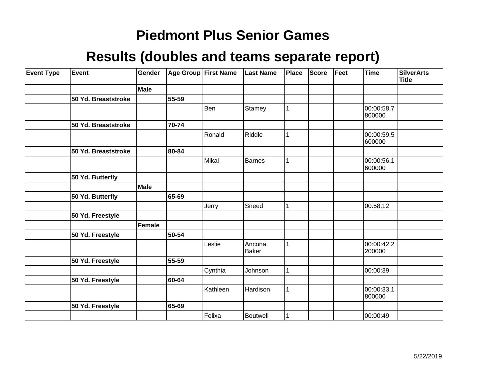| <b>Event Type</b> | Event               | Gender |       | Age Group First Name | <b>Last Name</b>       | Place | Score | Feet | <b>Time</b>          | <b>SilverArts</b><br><b>Title</b> |
|-------------------|---------------------|--------|-------|----------------------|------------------------|-------|-------|------|----------------------|-----------------------------------|
|                   |                     | Male   |       |                      |                        |       |       |      |                      |                                   |
|                   | 50 Yd. Breaststroke |        | 55-59 |                      |                        |       |       |      |                      |                                   |
|                   |                     |        |       | Ben                  | Stamey                 | 1     |       |      | 00:00:58.7<br>800000 |                                   |
|                   | 50 Yd. Breaststroke |        | 70-74 |                      |                        |       |       |      |                      |                                   |
|                   |                     |        |       | Ronald               | Riddle                 |       |       |      | 00:00:59.5<br>600000 |                                   |
|                   | 50 Yd. Breaststroke |        | 80-84 |                      |                        |       |       |      |                      |                                   |
|                   |                     |        |       | Mikal                | <b>Barnes</b>          | 1     |       |      | 00:00:56.1<br>600000 |                                   |
|                   | 50 Yd. Butterfly    |        |       |                      |                        |       |       |      |                      |                                   |
|                   |                     | Male   |       |                      |                        |       |       |      |                      |                                   |
|                   | 50 Yd. Butterfly    |        | 65-69 |                      |                        |       |       |      |                      |                                   |
|                   |                     |        |       | Jerry                | Sneed                  |       |       |      | 00:58:12             |                                   |
|                   | 50 Yd. Freestyle    |        |       |                      |                        |       |       |      |                      |                                   |
|                   |                     | Female |       |                      |                        |       |       |      |                      |                                   |
|                   | 50 Yd. Freestyle    |        | 50-54 |                      |                        |       |       |      |                      |                                   |
|                   |                     |        |       | Leslie               | Ancona<br><b>Baker</b> |       |       |      | 00:00:42.2<br>200000 |                                   |
|                   | 50 Yd. Freestyle    |        | 55-59 |                      |                        |       |       |      |                      |                                   |
|                   |                     |        |       | Cynthia              | Johnson                | 1     |       |      | 00:00:39             |                                   |
|                   | 50 Yd. Freestyle    |        | 60-64 |                      |                        |       |       |      |                      |                                   |
|                   |                     |        |       | Kathleen             | Hardison               | 1     |       |      | 00:00:33.1<br>800000 |                                   |
|                   | 50 Yd. Freestyle    |        | 65-69 |                      |                        |       |       |      |                      |                                   |
|                   |                     |        |       | Felixa               | Boutwell               |       |       |      | 00:00:49             |                                   |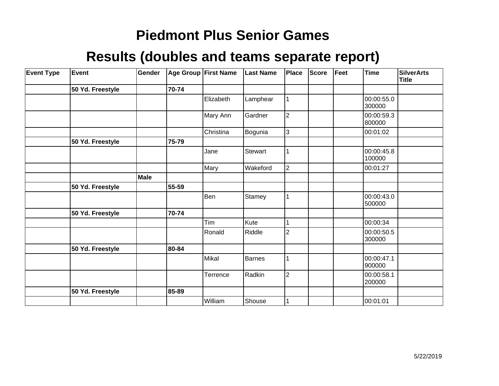| <b>Event Type</b> | Event            | Gender |       | Age Group First Name | <b>Last Name</b> | Place          | <b>Score</b> | Feet | <b>Time</b>          | SilverArts<br><b>Title</b> |
|-------------------|------------------|--------|-------|----------------------|------------------|----------------|--------------|------|----------------------|----------------------------|
|                   | 50 Yd. Freestyle |        | 70-74 |                      |                  |                |              |      |                      |                            |
|                   |                  |        |       | Elizabeth            | Lamphear         |                |              |      | 00:00:55.0<br>300000 |                            |
|                   |                  |        |       | Mary Ann             | Gardner          | $\overline{2}$ |              |      | 00:00:59.3<br>800000 |                            |
|                   |                  |        |       | Christina            | Bogunia          | 3              |              |      | 00:01:02             |                            |
|                   | 50 Yd. Freestyle |        | 75-79 |                      |                  |                |              |      |                      |                            |
|                   |                  |        |       | Jane                 | <b>Stewart</b>   |                |              |      | 00:00:45.8<br>100000 |                            |
|                   |                  |        |       | Mary                 | Wakeford         | $\overline{2}$ |              |      | 00:01:27             |                            |
|                   |                  | Male   |       |                      |                  |                |              |      |                      |                            |
|                   | 50 Yd. Freestyle |        | 55-59 |                      |                  |                |              |      |                      |                            |
|                   |                  |        |       | Ben                  | Stamey           |                |              |      | 00:00:43.0<br>500000 |                            |
|                   | 50 Yd. Freestyle |        | 70-74 |                      |                  |                |              |      |                      |                            |
|                   |                  |        |       | Tim                  | Kute             |                |              |      | 00:00:34             |                            |
|                   |                  |        |       | Ronald               | Riddle           | $\overline{2}$ |              |      | 00:00:50.5<br>300000 |                            |
|                   | 50 Yd. Freestyle |        | 80-84 |                      |                  |                |              |      |                      |                            |
|                   |                  |        |       | Mikal                | Barnes           |                |              |      | 00:00:47.1<br>900000 |                            |
|                   |                  |        |       | Terrence             | Radkin           | $\overline{2}$ |              |      | 00:00:58.1<br>200000 |                            |
|                   | 50 Yd. Freestyle |        | 85-89 |                      |                  |                |              |      |                      |                            |
|                   |                  |        |       | William              | Shouse           |                |              |      | 00:01:01             |                            |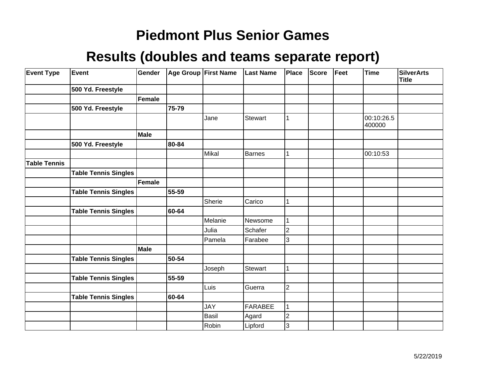| <b>Event Type</b>   | Event                       | Gender      |       | Age Group First Name | <b>Last Name</b> | Place          | <b>Score</b> | Feet | <b>Time</b>          | <b>SilverArts</b><br><b>Title</b> |
|---------------------|-----------------------------|-------------|-------|----------------------|------------------|----------------|--------------|------|----------------------|-----------------------------------|
|                     | 500 Yd. Freestyle           |             |       |                      |                  |                |              |      |                      |                                   |
|                     |                             | Female      |       |                      |                  |                |              |      |                      |                                   |
|                     | 500 Yd. Freestyle           |             | 75-79 |                      |                  |                |              |      |                      |                                   |
|                     |                             |             |       | Jane                 | <b>Stewart</b>   |                |              |      | 00:10:26.5<br>400000 |                                   |
|                     |                             | Male        |       |                      |                  |                |              |      |                      |                                   |
|                     | 500 Yd. Freestyle           |             | 80-84 |                      |                  |                |              |      |                      |                                   |
|                     |                             |             |       | Mikal                | Barnes           |                |              |      | 00:10:53             |                                   |
| <b>Table Tennis</b> |                             |             |       |                      |                  |                |              |      |                      |                                   |
|                     | <b>Table Tennis Singles</b> |             |       |                      |                  |                |              |      |                      |                                   |
|                     |                             | Female      |       |                      |                  |                |              |      |                      |                                   |
|                     | <b>Table Tennis Singles</b> |             | 55-59 |                      |                  |                |              |      |                      |                                   |
|                     |                             |             |       | Sherie               | Carico           |                |              |      |                      |                                   |
|                     | <b>Table Tennis Singles</b> |             | 60-64 |                      |                  |                |              |      |                      |                                   |
|                     |                             |             |       | Melanie              | Newsome          |                |              |      |                      |                                   |
|                     |                             |             |       | Julia                | Schafer          | $\overline{2}$ |              |      |                      |                                   |
|                     |                             |             |       | Pamela               | Farabee          | 3              |              |      |                      |                                   |
|                     |                             | <b>Male</b> |       |                      |                  |                |              |      |                      |                                   |
|                     | <b>Table Tennis Singles</b> |             | 50-54 |                      |                  |                |              |      |                      |                                   |
|                     |                             |             |       | Joseph               | Stewart          |                |              |      |                      |                                   |
|                     | <b>Table Tennis Singles</b> |             | 55-59 |                      |                  |                |              |      |                      |                                   |
|                     |                             |             |       | Luis                 | Guerra           | $\overline{2}$ |              |      |                      |                                   |
|                     | <b>Table Tennis Singles</b> |             | 60-64 |                      |                  |                |              |      |                      |                                   |
|                     |                             |             |       | <b>JAY</b>           | <b>FARABEE</b>   |                |              |      |                      |                                   |
|                     |                             |             |       | Basil                | Agard            | $\overline{2}$ |              |      |                      |                                   |
|                     |                             |             |       | Robin                | Lipford          | 3              |              |      |                      |                                   |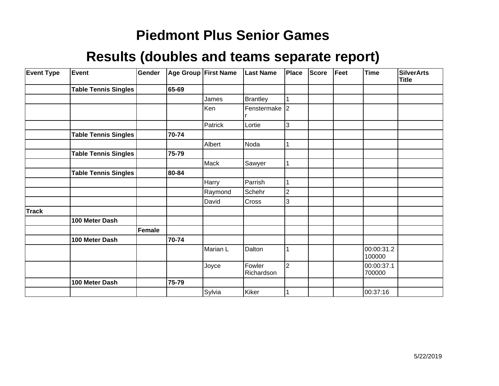| <b>Event Type</b> | Event                       | Gender | Age Group First Name |          | <b>Last Name</b>     | Place          | <b>Score</b> | Feet | Time                 | <b>SilverArts</b><br><b>Title</b> |
|-------------------|-----------------------------|--------|----------------------|----------|----------------------|----------------|--------------|------|----------------------|-----------------------------------|
|                   | <b>Table Tennis Singles</b> |        | 65-69                |          |                      |                |              |      |                      |                                   |
|                   |                             |        |                      | James    | Brantley             | 1              |              |      |                      |                                   |
|                   |                             |        |                      | Ken      | Fenstermake 2        |                |              |      |                      |                                   |
|                   |                             |        |                      | Patrick  | Lortie               | 3              |              |      |                      |                                   |
|                   | <b>Table Tennis Singles</b> |        | 70-74                |          |                      |                |              |      |                      |                                   |
|                   |                             |        |                      | Albert   | Noda                 |                |              |      |                      |                                   |
|                   | Table Tennis Singles        |        | 75-79                |          |                      |                |              |      |                      |                                   |
|                   |                             |        |                      | Mack     | Sawyer               | 1              |              |      |                      |                                   |
|                   | <b>Table Tennis Singles</b> |        | 80-84                |          |                      |                |              |      |                      |                                   |
|                   |                             |        |                      | Harry    | Parrish              |                |              |      |                      |                                   |
|                   |                             |        |                      | Raymond  | Schehr               | $\overline{c}$ |              |      |                      |                                   |
|                   |                             |        |                      | David    | Cross                | 3              |              |      |                      |                                   |
| <b>Track</b>      |                             |        |                      |          |                      |                |              |      |                      |                                   |
|                   | 100 Meter Dash              |        |                      |          |                      |                |              |      |                      |                                   |
|                   |                             | Female |                      |          |                      |                |              |      |                      |                                   |
|                   | 100 Meter Dash              |        | 70-74                |          |                      |                |              |      |                      |                                   |
|                   |                             |        |                      | Marian L | Dalton               |                |              |      | 00:00:31.2<br>100000 |                                   |
|                   |                             |        |                      | Joyce    | Fowler<br>Richardson | $\overline{2}$ |              |      | 00:00:37.1<br>700000 |                                   |
|                   | 100 Meter Dash              |        | 75-79                |          |                      |                |              |      |                      |                                   |
|                   |                             |        |                      | Sylvia   | Kiker                |                |              |      | 00:37:16             |                                   |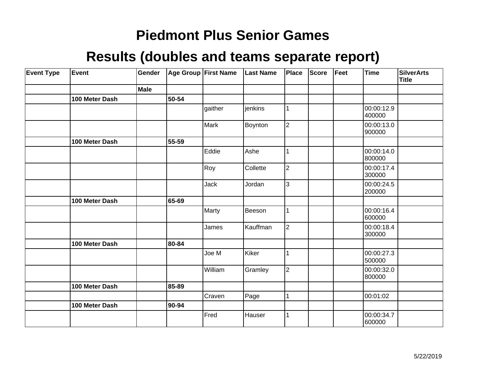| <b>Event Type</b> | Event          | Gender      |       | Age Group First Name | <b>Last Name</b> | Place          | Score | Feet | <b>Time</b>          | <b>SilverArts</b><br><b>Title</b> |
|-------------------|----------------|-------------|-------|----------------------|------------------|----------------|-------|------|----------------------|-----------------------------------|
|                   |                | <b>Male</b> |       |                      |                  |                |       |      |                      |                                   |
|                   | 100 Meter Dash |             | 50-54 |                      |                  |                |       |      |                      |                                   |
|                   |                |             |       | gaither              | jenkins          |                |       |      | 00:00:12.9<br>400000 |                                   |
|                   |                |             |       | Mark                 | Boynton          | $\overline{2}$ |       |      | 00:00:13.0<br>900000 |                                   |
|                   | 100 Meter Dash |             | 55-59 |                      |                  |                |       |      |                      |                                   |
|                   |                |             |       | Eddie                | Ashe             |                |       |      | 00:00:14.0<br>800000 |                                   |
|                   |                |             |       | Roy                  | Collette         | $\overline{2}$ |       |      | 00:00:17.4<br>300000 |                                   |
|                   |                |             |       | Jack                 | Jordan           | 3              |       |      | 00:00:24.5<br>200000 |                                   |
|                   | 100 Meter Dash |             | 65-69 |                      |                  |                |       |      |                      |                                   |
|                   |                |             |       | Marty                | Beeson           |                |       |      | 00:00:16.4<br>600000 |                                   |
|                   |                |             |       | James                | Kauffman         | $\overline{2}$ |       |      | 00:00:18.4<br>300000 |                                   |
|                   | 100 Meter Dash |             | 80-84 |                      |                  |                |       |      |                      |                                   |
|                   |                |             |       | Joe M                | Kiker            |                |       |      | 00:00:27.3<br>500000 |                                   |
|                   |                |             |       | William              | Gramley          | $\overline{2}$ |       |      | 00:00:32.0<br>800000 |                                   |
|                   | 100 Meter Dash |             | 85-89 |                      |                  |                |       |      |                      |                                   |
|                   |                |             |       | Craven               | Page             |                |       |      | 00:01:02             |                                   |
|                   | 100 Meter Dash |             | 90-94 |                      |                  |                |       |      |                      |                                   |
|                   |                |             |       | Fred                 | Hauser           |                |       |      | 00:00:34.7<br>600000 |                                   |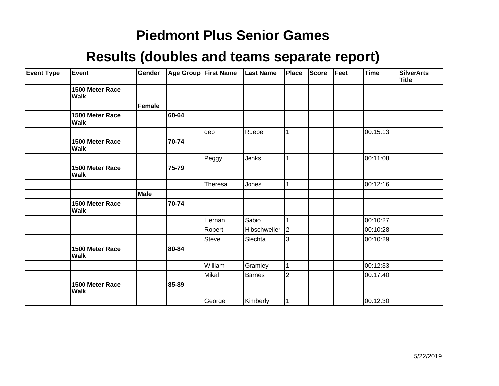| <b>Event Type</b> | <b>Event</b>                   | Gender      |       | Age Group First Name | Last Name    | <b>Place</b>   | <b>Score</b> | Feet | <b>Time</b> | <b>SilverArts</b><br><b>Title</b> |
|-------------------|--------------------------------|-------------|-------|----------------------|--------------|----------------|--------------|------|-------------|-----------------------------------|
|                   | 1500 Meter Race<br><b>Walk</b> |             |       |                      |              |                |              |      |             |                                   |
|                   |                                | Female      |       |                      |              |                |              |      |             |                                   |
|                   | 1500 Meter Race<br>Walk        |             | 60-64 |                      |              |                |              |      |             |                                   |
|                   |                                |             |       | deb                  | Ruebel       | 1              |              |      | 00:15:13    |                                   |
|                   | 1500 Meter Race<br><b>Walk</b> |             | 70-74 |                      |              |                |              |      |             |                                   |
|                   |                                |             |       | Peggy                | Jenks        |                |              |      | 00:11:08    |                                   |
|                   | 1500 Meter Race<br><b>Walk</b> |             | 75-79 |                      |              |                |              |      |             |                                   |
|                   |                                |             |       | Theresa              | Jones        | 1              |              |      | 00:12:16    |                                   |
|                   |                                | <b>Male</b> |       |                      |              |                |              |      |             |                                   |
|                   | 1500 Meter Race<br><b>Walk</b> |             | 70-74 |                      |              |                |              |      |             |                                   |
|                   |                                |             |       | Hernan               | Sabio        | 1              |              |      | 00:10:27    |                                   |
|                   |                                |             |       | Robert               | Hibschweiler | $ 2\rangle$    |              |      | 00:10:28    |                                   |
|                   |                                |             |       | Steve                | Slechta      | 3              |              |      | 00:10:29    |                                   |
|                   | 1500 Meter Race<br><b>Walk</b> |             | 80-84 |                      |              |                |              |      |             |                                   |
|                   |                                |             |       | William              | Gramley      | $\vert$ 1      |              |      | 00:12:33    |                                   |
|                   |                                |             |       | Mikal                | Barnes       | $\overline{2}$ |              |      | 00:17:40    |                                   |
|                   | 1500 Meter Race<br><b>Walk</b> |             | 85-89 |                      |              |                |              |      |             |                                   |
|                   |                                |             |       | George               | Kimberly     | 1              |              |      | 00:12:30    |                                   |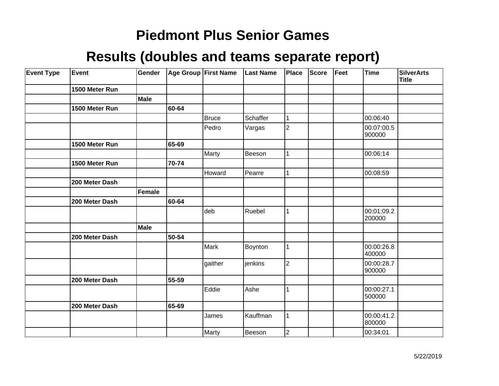| <b>Event Type</b> | Event          | Gender      |       | <b>Age Group First Name</b> | <b>Last Name</b> | Place          | <b>Score</b> | Feet | <b>Time</b>          | <b>SilverArts</b><br><b>Title</b> |
|-------------------|----------------|-------------|-------|-----------------------------|------------------|----------------|--------------|------|----------------------|-----------------------------------|
|                   | 1500 Meter Run |             |       |                             |                  |                |              |      |                      |                                   |
|                   |                | Male        |       |                             |                  |                |              |      |                      |                                   |
|                   | 1500 Meter Run |             | 60-64 |                             |                  |                |              |      |                      |                                   |
|                   |                |             |       | Bruce                       | Schaffer         | 1              |              |      | 00:06:40             |                                   |
|                   |                |             |       | Pedro                       | Vargas           | $\overline{2}$ |              |      | 00:07:00.5<br>900000 |                                   |
|                   | 1500 Meter Run |             | 65-69 |                             |                  |                |              |      |                      |                                   |
|                   |                |             |       | Marty                       | Beeson           | 1              |              |      | 00:06:14             |                                   |
|                   | 1500 Meter Run |             | 70-74 |                             |                  |                |              |      |                      |                                   |
|                   |                |             |       | Howard                      | Pearre           | 1              |              |      | 00:08:59             |                                   |
|                   | 200 Meter Dash |             |       |                             |                  |                |              |      |                      |                                   |
|                   |                | Female      |       |                             |                  |                |              |      |                      |                                   |
|                   | 200 Meter Dash |             | 60-64 |                             |                  |                |              |      |                      |                                   |
|                   |                |             |       | deb                         | Ruebel           | 1              |              |      | 00:01:09.2<br>200000 |                                   |
|                   |                | <b>Male</b> |       |                             |                  |                |              |      |                      |                                   |
|                   | 200 Meter Dash |             | 50-54 |                             |                  |                |              |      |                      |                                   |
|                   |                |             |       | Mark                        | Boynton          | $\mathbf{1}$   |              |      | 00:00:26.8<br>400000 |                                   |
|                   |                |             |       | gaither                     | jenkins          | $\overline{2}$ |              |      | 00:00:28.7<br>900000 |                                   |
|                   | 200 Meter Dash |             | 55-59 |                             |                  |                |              |      |                      |                                   |
|                   |                |             |       | Eddie                       | Ashe             | 1              |              |      | 00:00:27.1<br>500000 |                                   |
|                   | 200 Meter Dash |             | 65-69 |                             |                  |                |              |      |                      |                                   |
|                   |                |             |       | James                       | Kauffman         | 1              |              |      | 00:00:41.2<br>800000 |                                   |
|                   |                |             |       | Marty                       | Beeson           | $\overline{2}$ |              |      | 00:34:01             |                                   |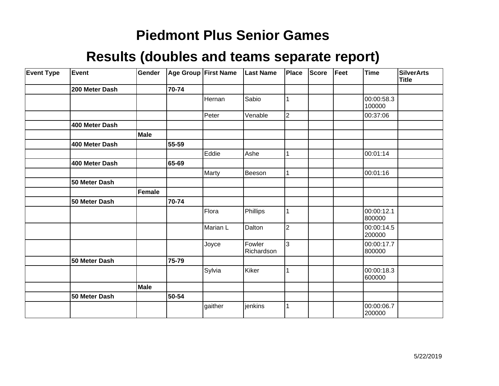| <b>Event Type</b> | Event          | Gender        |       | Age Group First Name | <b>Last Name</b>     | Place          | <b>Score</b> | Feet | Time                 | <b>SilverArts</b><br><b>Title</b> |
|-------------------|----------------|---------------|-------|----------------------|----------------------|----------------|--------------|------|----------------------|-----------------------------------|
|                   | 200 Meter Dash |               | 70-74 |                      |                      |                |              |      |                      |                                   |
|                   |                |               |       | Hernan               | Sabio                |                |              |      | 00:00:58.3<br>100000 |                                   |
|                   |                |               |       | Peter                | Venable              | $\overline{2}$ |              |      | 00:37:06             |                                   |
|                   | 400 Meter Dash |               |       |                      |                      |                |              |      |                      |                                   |
|                   |                | <b>Male</b>   |       |                      |                      |                |              |      |                      |                                   |
|                   | 400 Meter Dash |               | 55-59 |                      |                      |                |              |      |                      |                                   |
|                   |                |               |       | Eddie                | Ashe                 |                |              |      | 00:01:14             |                                   |
|                   | 400 Meter Dash |               | 65-69 |                      |                      |                |              |      |                      |                                   |
|                   |                |               |       | Marty                | Beeson               |                |              |      | 00:01:16             |                                   |
|                   | 50 Meter Dash  |               |       |                      |                      |                |              |      |                      |                                   |
|                   |                | <b>Female</b> |       |                      |                      |                |              |      |                      |                                   |
|                   | 50 Meter Dash  |               | 70-74 |                      |                      |                |              |      |                      |                                   |
|                   |                |               |       | Flora                | Phillips             |                |              |      | 00:00:12.1<br>800000 |                                   |
|                   |                |               |       | Marian L             | Dalton               | $\overline{2}$ |              |      | 00:00:14.5<br>200000 |                                   |
|                   |                |               |       | Joyce                | Fowler<br>Richardson | $\overline{3}$ |              |      | 00:00:17.7<br>800000 |                                   |
|                   | 50 Meter Dash  |               | 75-79 |                      |                      |                |              |      |                      |                                   |
|                   |                |               |       | Sylvia               | Kiker                |                |              |      | 00:00:18.3<br>600000 |                                   |
|                   |                | Male          |       |                      |                      |                |              |      |                      |                                   |
|                   | 50 Meter Dash  |               | 50-54 |                      |                      |                |              |      |                      |                                   |
|                   |                |               |       | gaither              | jenkins              |                |              |      | 00:00:06.7<br>200000 |                                   |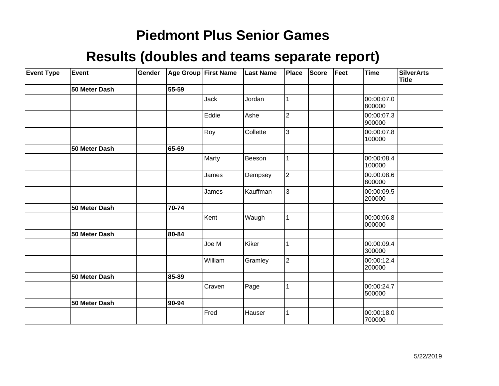| <b>Event Type</b> | Event         | Gender |       | Age Group First Name | <b>Last Name</b> | Place          | <b>Score</b> | Feet | Time                 | <b>SilverArts</b><br><b>Title</b> |
|-------------------|---------------|--------|-------|----------------------|------------------|----------------|--------------|------|----------------------|-----------------------------------|
|                   | 50 Meter Dash |        | 55-59 |                      |                  |                |              |      |                      |                                   |
|                   |               |        |       | Jack                 | Jordan           | 1              |              |      | 00:00:07.0<br>800000 |                                   |
|                   |               |        |       | Eddie                | Ashe             | $\overline{c}$ |              |      | 00:00:07.3<br>900000 |                                   |
|                   |               |        |       | Roy                  | Collette         | 3              |              |      | 00:00:07.8<br>100000 |                                   |
|                   | 50 Meter Dash |        | 65-69 |                      |                  |                |              |      |                      |                                   |
|                   |               |        |       | Marty                | Beeson           |                |              |      | 00:00:08.4<br>100000 |                                   |
|                   |               |        |       | James                | Dempsey          | $\overline{2}$ |              |      | 00:00:08.6<br>800000 |                                   |
|                   |               |        |       | James                | Kauffman         | 3              |              |      | 00:00:09.5<br>200000 |                                   |
|                   | 50 Meter Dash |        | 70-74 |                      |                  |                |              |      |                      |                                   |
|                   |               |        |       | Kent                 | Waugh            | $\mathbf{1}$   |              |      | 00:00:06.8<br>000000 |                                   |
|                   | 50 Meter Dash |        | 80-84 |                      |                  |                |              |      |                      |                                   |
|                   |               |        |       | Joe M                | Kiker            | 1              |              |      | 00:00:09.4<br>300000 |                                   |
|                   |               |        |       | William              | Gramley          | $\overline{2}$ |              |      | 00:00:12.4<br>200000 |                                   |
|                   | 50 Meter Dash |        | 85-89 |                      |                  |                |              |      |                      |                                   |
|                   |               |        |       | Craven               | Page             | 1              |              |      | 00:00:24.7<br>500000 |                                   |
|                   | 50 Meter Dash |        | 90-94 |                      |                  |                |              |      |                      |                                   |
|                   |               |        |       | Fred                 | Hauser           | 1              |              |      | 00:00:18.0<br>700000 |                                   |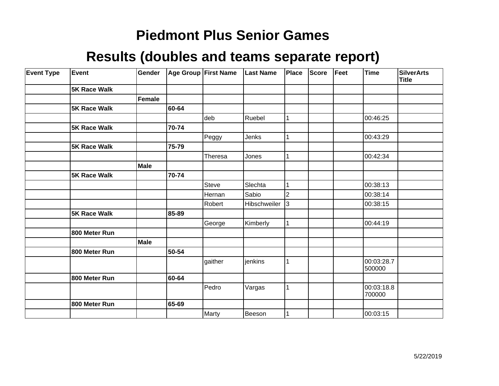| <b>Event Type</b> | Event               | Gender |       | <b>Age Group First Name</b> | <b>Last Name</b> | Place          | <b>Score</b> | Feet | <b>Time</b>          | <b>SilverArts</b><br>Title |
|-------------------|---------------------|--------|-------|-----------------------------|------------------|----------------|--------------|------|----------------------|----------------------------|
|                   | <b>5K Race Walk</b> |        |       |                             |                  |                |              |      |                      |                            |
|                   |                     | Female |       |                             |                  |                |              |      |                      |                            |
|                   | <b>5K Race Walk</b> |        | 60-64 |                             |                  |                |              |      |                      |                            |
|                   |                     |        |       | deb                         | Ruebel           | 1              |              |      | 00:46:25             |                            |
|                   | <b>5K Race Walk</b> |        | 70-74 |                             |                  |                |              |      |                      |                            |
|                   |                     |        |       | Peggy                       | Jenks            | 1              |              |      | 00:43:29             |                            |
|                   | <b>5K Race Walk</b> |        | 75-79 |                             |                  |                |              |      |                      |                            |
|                   |                     |        |       | Theresa                     | Jones            | 1              |              |      | 00:42:34             |                            |
|                   |                     | Male   |       |                             |                  |                |              |      |                      |                            |
|                   | <b>5K Race Walk</b> |        | 70-74 |                             |                  |                |              |      |                      |                            |
|                   |                     |        |       | <b>Steve</b>                | Slechta          | 1              |              |      | 00:38:13             |                            |
|                   |                     |        |       | Hernan                      | Sabio            | $\overline{2}$ |              |      | 00:38:14             |                            |
|                   |                     |        |       | Robert                      | Hibschweiler     | l3             |              |      | 00:38:15             |                            |
|                   | <b>5K Race Walk</b> |        | 85-89 |                             |                  |                |              |      |                      |                            |
|                   |                     |        |       | George                      | Kimberly         | 1              |              |      | 00:44:19             |                            |
|                   | 800 Meter Run       |        |       |                             |                  |                |              |      |                      |                            |
|                   |                     | Male   |       |                             |                  |                |              |      |                      |                            |
|                   | 800 Meter Run       |        | 50-54 |                             |                  |                |              |      |                      |                            |
|                   |                     |        |       | gaither                     | jenkins          | 1              |              |      | 00:03:28.7<br>500000 |                            |
|                   | 800 Meter Run       |        | 60-64 |                             |                  |                |              |      |                      |                            |
|                   |                     |        |       | Pedro                       | Vargas           | $\mathbf{1}$   |              |      | 00:03:18.8<br>700000 |                            |
|                   | 800 Meter Run       |        | 65-69 |                             |                  |                |              |      |                      |                            |
|                   |                     |        |       | Marty                       | Beeson           |                |              |      | 00:03:15             |                            |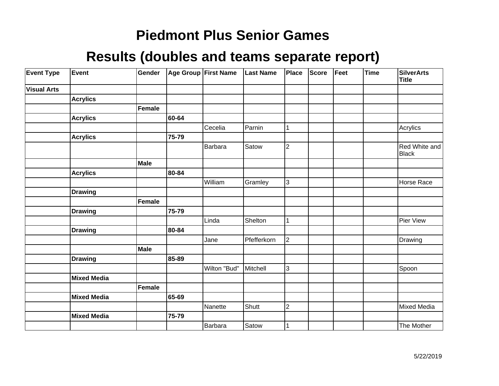| <b>Event Type</b>  | Event              | Gender |       | Age Group First Name | <b>Last Name</b> | Place          | Score | Feet | <b>Time</b> | <b>SilverArts</b><br><b>Title</b> |
|--------------------|--------------------|--------|-------|----------------------|------------------|----------------|-------|------|-------------|-----------------------------------|
| <b>Visual Arts</b> |                    |        |       |                      |                  |                |       |      |             |                                   |
|                    | <b>Acrylics</b>    |        |       |                      |                  |                |       |      |             |                                   |
|                    |                    | Female |       |                      |                  |                |       |      |             |                                   |
|                    | <b>Acrylics</b>    |        | 60-64 |                      |                  |                |       |      |             |                                   |
|                    |                    |        |       | Cecelia              | Parnin           | 1              |       |      |             | Acrylics                          |
|                    | <b>Acrylics</b>    |        | 75-79 |                      |                  |                |       |      |             |                                   |
|                    |                    |        |       | Barbara              | Satow            | $\overline{2}$ |       |      |             | Red White and<br>Black            |
|                    |                    | Male   |       |                      |                  |                |       |      |             |                                   |
|                    | <b>Acrylics</b>    |        | 80-84 |                      |                  |                |       |      |             |                                   |
|                    |                    |        |       | William              | Gramley          | 3              |       |      |             | Horse Race                        |
|                    | <b>Drawing</b>     |        |       |                      |                  |                |       |      |             |                                   |
|                    |                    | Female |       |                      |                  |                |       |      |             |                                   |
|                    | <b>Drawing</b>     |        | 75-79 |                      |                  |                |       |      |             |                                   |
|                    |                    |        |       | Linda                | Shelton          | 1              |       |      |             | Pier View                         |
|                    | <b>Drawing</b>     |        | 80-84 |                      |                  |                |       |      |             |                                   |
|                    |                    |        |       | Jane                 | Pfefferkorn      | $\overline{2}$ |       |      |             | Drawing                           |
|                    |                    | Male   |       |                      |                  |                |       |      |             |                                   |
|                    | <b>Drawing</b>     |        | 85-89 |                      |                  |                |       |      |             |                                   |
|                    |                    |        |       | Wilton "Bud"         | Mitchell         | 3              |       |      |             | Spoon                             |
|                    | <b>Mixed Media</b> |        |       |                      |                  |                |       |      |             |                                   |
|                    |                    | Female |       |                      |                  |                |       |      |             |                                   |
|                    | <b>Mixed Media</b> |        | 65-69 |                      |                  |                |       |      |             |                                   |
|                    |                    |        |       | Nanette              | Shutt            | $\overline{2}$ |       |      |             | Mixed Media                       |
|                    | <b>Mixed Media</b> |        | 75-79 |                      |                  |                |       |      |             |                                   |
|                    |                    |        |       | Barbara              | Satow            |                |       |      |             | The Mother                        |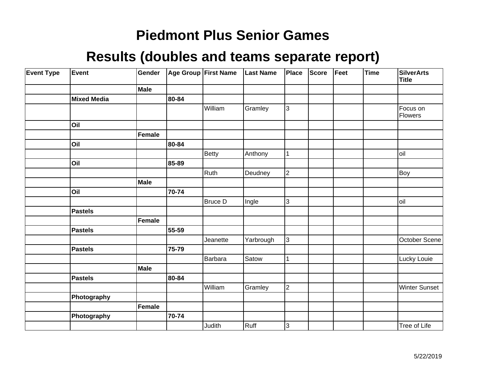| <b>Event Type</b> | Event              | Gender      |       | Age Group First Name | <b>Last Name</b> | Place          | <b>Score</b> | Feet | Time | <b>SilverArts</b><br><b>Title</b> |
|-------------------|--------------------|-------------|-------|----------------------|------------------|----------------|--------------|------|------|-----------------------------------|
|                   |                    | Male        |       |                      |                  |                |              |      |      |                                   |
|                   | <b>Mixed Media</b> |             | 80-84 |                      |                  |                |              |      |      |                                   |
|                   |                    |             |       | William              | Gramley          | $\overline{3}$ |              |      |      | Focus on<br>Flowers               |
|                   | Oil                |             |       |                      |                  |                |              |      |      |                                   |
|                   |                    | Female      |       |                      |                  |                |              |      |      |                                   |
|                   | Oil                |             | 80-84 |                      |                  |                |              |      |      |                                   |
|                   |                    |             |       | <b>Betty</b>         | Anthony          | 1              |              |      |      | loil                              |
|                   | Oil                |             | 85-89 |                      |                  |                |              |      |      |                                   |
|                   |                    |             |       | Ruth                 | Deudney          | $\overline{2}$ |              |      |      | Boy                               |
|                   |                    | <b>Male</b> |       |                      |                  |                |              |      |      |                                   |
|                   | Oil                |             | 70-74 |                      |                  |                |              |      |      |                                   |
|                   |                    |             |       | <b>Bruce D</b>       | Ingle            | 3              |              |      |      | loil                              |
|                   | <b>Pastels</b>     |             |       |                      |                  |                |              |      |      |                                   |
|                   |                    | Female      |       |                      |                  |                |              |      |      |                                   |
|                   | Pastels            |             | 55-59 |                      |                  |                |              |      |      |                                   |
|                   |                    |             |       | Jeanette             | Yarbrough        | 3              |              |      |      | October Scene                     |
|                   | <b>Pastels</b>     |             | 75-79 |                      |                  |                |              |      |      |                                   |
|                   |                    |             |       | <b>Barbara</b>       | Satow            |                |              |      |      | Lucky Louie                       |
|                   |                    | Male        |       |                      |                  |                |              |      |      |                                   |
|                   | <b>Pastels</b>     |             | 80-84 |                      |                  |                |              |      |      |                                   |
|                   |                    |             |       | William              | Gramley          | $\overline{2}$ |              |      |      | <b>Winter Sunset</b>              |
|                   | Photography        |             |       |                      |                  |                |              |      |      |                                   |
|                   |                    | Female      |       |                      |                  |                |              |      |      |                                   |
|                   | Photography        |             | 70-74 |                      |                  |                |              |      |      |                                   |
|                   |                    |             |       | Judith               | Ruff             | 3              |              |      |      | Tree of Life                      |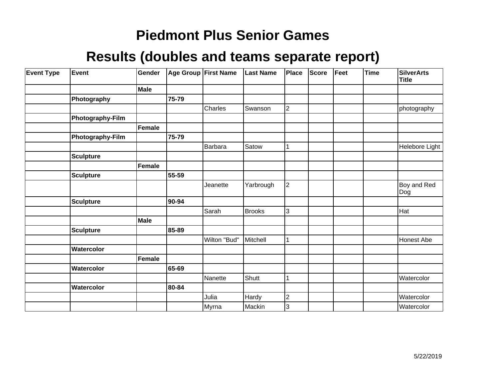| <b>Event Type</b> | Event            | Gender        |       | Age Group First Name | <b>Last Name</b> | <b>Place</b>            | Score | Feet | Time | <b>SilverArts</b><br><b>Title</b> |
|-------------------|------------------|---------------|-------|----------------------|------------------|-------------------------|-------|------|------|-----------------------------------|
|                   |                  | Male          |       |                      |                  |                         |       |      |      |                                   |
|                   | Photography      |               | 75-79 |                      |                  |                         |       |      |      |                                   |
|                   |                  |               |       | Charles              | Swanson          | $\overline{c}$          |       |      |      | photography                       |
|                   | Photography-Film |               |       |                      |                  |                         |       |      |      |                                   |
|                   |                  | Female        |       |                      |                  |                         |       |      |      |                                   |
|                   | Photography-Film |               | 75-79 |                      |                  |                         |       |      |      |                                   |
|                   |                  |               |       | <b>Barbara</b>       | Satow            | $\mathbf{1}$            |       |      |      | Helebore Light                    |
|                   | <b>Sculpture</b> |               |       |                      |                  |                         |       |      |      |                                   |
|                   |                  | <b>Female</b> |       |                      |                  |                         |       |      |      |                                   |
|                   | <b>Sculpture</b> |               | 55-59 |                      |                  |                         |       |      |      |                                   |
|                   |                  |               |       | Jeanette             | Yarbrough        | $\overline{2}$          |       |      |      | Boy and Red<br>Dog                |
|                   | <b>Sculpture</b> |               | 90-94 |                      |                  |                         |       |      |      |                                   |
|                   |                  |               |       | Sarah                | <b>Brooks</b>    | $\overline{3}$          |       |      |      | Hat                               |
|                   |                  | <b>Male</b>   |       |                      |                  |                         |       |      |      |                                   |
|                   | <b>Sculpture</b> |               | 85-89 |                      |                  |                         |       |      |      |                                   |
|                   |                  |               |       | Wilton "Bud"         | Mitchell         | $\mathbf{1}$            |       |      |      | Honest Abe                        |
|                   | Watercolor       |               |       |                      |                  |                         |       |      |      |                                   |
|                   |                  | Female        |       |                      |                  |                         |       |      |      |                                   |
|                   | Watercolor       |               | 65-69 |                      |                  |                         |       |      |      |                                   |
|                   |                  |               |       | Nanette              | Shutt            | 1                       |       |      |      | Watercolor                        |
|                   | Watercolor       |               | 80-84 |                      |                  |                         |       |      |      |                                   |
|                   |                  |               |       | Julia                | Hardy            | $\overline{\mathbf{c}}$ |       |      |      | Watercolor                        |
|                   |                  |               |       | Myrna                | Mackin           | 3                       |       |      |      | Watercolor                        |